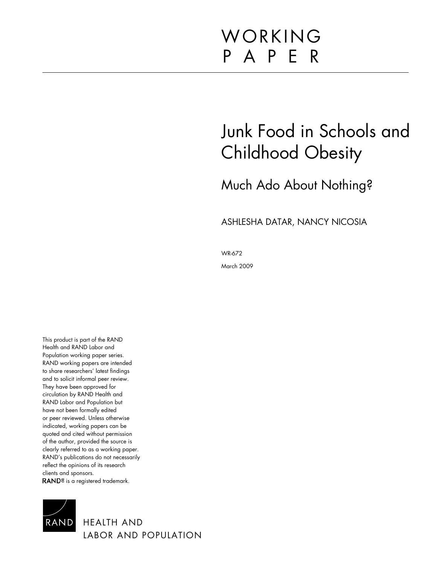# WORKING P A P E R

# Junk Food in Schools and Childhood Obesity

## Much Ado About Nothing?

## ASHLESHA DATAR, NANCY NICOSIA

WR-672

March 2009

This product is part of the RAND Health and RAND Labor and Population working paper series. RAND working papers are intended to share researchers' latest findings and to solicit informal peer review. They have been approved for circulation by RAND Health and RAND Labor and Population but have not been formally edited or peer reviewed. Unless otherwise indicated, working papers can be quoted and cited without permission of the author, provided the source is clearly referred to as a working paper. RAND's publications do not necessarily reflect the opinions of its research clients and sponsors. **RAND**® is a registered trademark.



HEALTH AND LABOR AND POPULATION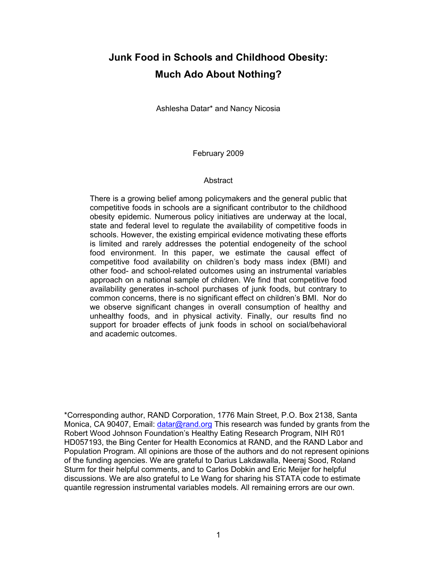## **Junk Food in Schools and Childhood Obesity: Much Ado About Nothing?**

Ashlesha Datar\* and Nancy Nicosia

February 2009

## Abstract

There is a growing belief among policymakers and the general public that competitive foods in schools are a significant contributor to the childhood obesity epidemic. Numerous policy initiatives are underway at the local, state and federal level to regulate the availability of competitive foods in schools. However, the existing empirical evidence motivating these efforts is limited and rarely addresses the potential endogeneity of the school food environment. In this paper, we estimate the causal effect of competitive food availability on children's body mass index (BMI) and other food- and school-related outcomes using an instrumental variables approach on a national sample of children. We find that competitive food availability generates in-school purchases of junk foods, but contrary to common concerns, there is no significant effect on children's BMI. Nor do we observe significant changes in overall consumption of healthy and unhealthy foods, and in physical activity. Finally, our results find no support for broader effects of junk foods in school on social/behavioral and academic outcomes.

\*Corresponding author, RAND Corporation, 1776 Main Street, P.O. Box 2138, Santa Monica, CA 90407, Email: [datar@rand.org](mailto:datar@rand.org) This research was funded by grants from the Robert Wood Johnson Foundation's Healthy Eating Research Program, NIH R01 HD057193, the Bing Center for Health Economics at RAND, and the RAND Labor and Population Program. All opinions are those of the authors and do not represent opinions of the funding agencies. We are grateful to Darius Lakdawalla, Neeraj Sood, Roland Sturm for their helpful comments, and to Carlos Dobkin and Eric Meijer for helpful discussions. We are also grateful to Le Wang for sharing his STATA code to estimate quantile regression instrumental variables models. All remaining errors are our own.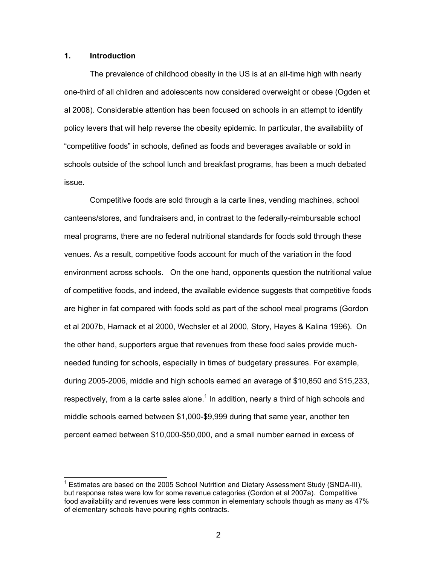## **1. Introduction**

The prevalence of childhood obesity in the US is at an all-time high with nearly one-third of all children and adolescents now considered overweight or obese (Ogden et al 2008). Considerable attention has been focused on schools in an attempt to identify policy levers that will help reverse the obesity epidemic. In particular, the availability of "competitive foods" in schools, defined as foods and beverages available or sold in schools outside of the school lunch and breakfast programs, has been a much debated issue.

Competitive foods are sold through a la carte lines, vending machines, school canteens/stores, and fundraisers and, in contrast to the federally-reimbursable school meal programs, there are no federal nutritional standards for foods sold through these venues. As a result, competitive foods account for much of the variation in the food environment across schools. On the one hand, opponents question the nutritional value of competitive foods, and indeed, the available evidence suggests that competitive foods are higher in fat compared with foods sold as part of the school meal programs (Gordon et al 2007b, Harnack et al 2000, Wechsler et al 2000, Story, Hayes & Kalina 1996). On the other hand, supporters argue that revenues from these food sales provide muchneeded funding for schools, especially in times of budgetary pressures. For example, during 2005-2006, middle and high schools earned an average of \$10,850 and \$15,233, respectively, from a la carte sales alone.<sup>1</sup> In addition, nearly a third of high schools and middle schools earned between \$1,000-\$9,999 during that same year, another ten percent earned between \$10,000-\$50,000, and a small number earned in excess of

<sup>&</sup>lt;sup>1</sup> Estimates are based on the 2005 School Nutrition and Dietary Assessment Study (SNDA-III), but response rates were low for some revenue categories (Gordon et al 2007a). Competitive food availability and revenues were less common in elementary schools though as many as 47% of elementary schools have pouring rights contracts.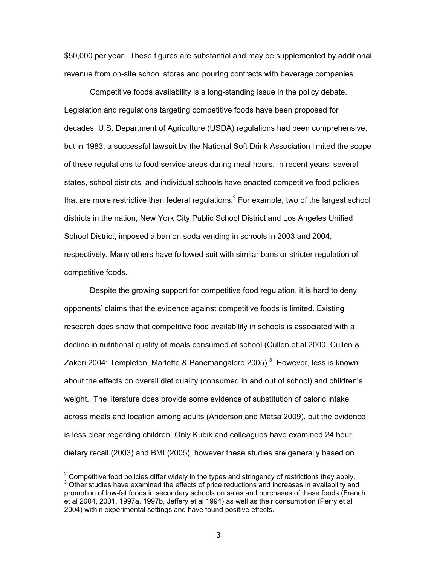\$50,000 per year. These figures are substantial and may be supplemented by additional revenue from on-site school stores and pouring contracts with beverage companies.

Competitive foods availability is a long-standing issue in the policy debate. Legislation and regulations targeting competitive foods have been proposed for decades. U.S. Department of Agriculture (USDA) regulations had been comprehensive, but in 1983, a successful lawsuit by the National Soft Drink Association limited the scope of these regulations to food service areas during meal hours. In recent years, several states, school districts, and individual schools have enacted competitive food policies that are more restrictive than federal regulations.<sup>2</sup> For example, two of the largest school districts in the nation, New York City Public School District and Los Angeles Unified School District, imposed a ban on soda vending in schools in 2003 and 2004, respectively. Many others have followed suit with similar bans or stricter regulation of competitive foods.

Despite the growing support for competitive food regulation, it is hard to deny opponents' claims that the evidence against competitive foods is limited. Existing research does show that competitive food availability in schools is associated with a decline in nutritional quality of meals consumed at school (Cullen et al 2000, Cullen & Zakeri 2004; Templeton, Marlette & Panemangalore 2005).<sup>3</sup> However, less is known about the effects on overall diet quality (consumed in and out of school) and children's weight. The literature does provide some evidence of substitution of caloric intake across meals and location among adults (Anderson and Matsa 2009), but the evidence is less clear regarding children. Only Kubik and colleagues have examined 24 hour dietary recall (2003) and BMI (2005), however these studies are generally based on

<sup>————————————————————&</sup>lt;br><sup>2</sup> Competitive food policies differ widely in the types and stringency of restrictions they apply.  $3$  Other studies have examined the effects of price reductions and increases in availability and promotion of low-fat foods in secondary schools on sales and purchases of these foods (French et al 2004, 2001, 1997a, 1997b, Jeffery et al 1994) as well as their consumption (Perry et al 2004) within experimental settings and have found positive effects.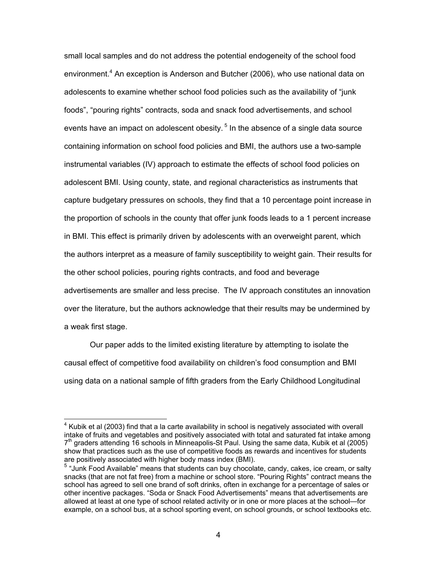small local samples and do not address the potential endogeneity of the school food environment.<sup>4</sup> An exception is Anderson and Butcher (2006), who use national data on adolescents to examine whether school food policies such as the availability of "junk foods", "pouring rights" contracts, soda and snack food advertisements, and school events have an impact on adolescent obesity.<sup>5</sup> In the absence of a single data source containing information on school food policies and BMI, the authors use a two-sample instrumental variables (IV) approach to estimate the effects of school food policies on adolescent BMI. Using county, state, and regional characteristics as instruments that capture budgetary pressures on schools, they find that a 10 percentage point increase in the proportion of schools in the county that offer junk foods leads to a 1 percent increase in BMI. This effect is primarily driven by adolescents with an overweight parent, which the authors interpret as a measure of family susceptibility to weight gain. Their results for the other school policies, pouring rights contracts, and food and beverage advertisements are smaller and less precise. The IV approach constitutes an innovation over the literature, but the authors acknowledge that their results may be undermined by a weak first stage.

Our paper adds to the limited existing literature by attempting to isolate the causal effect of competitive food availability on children's food consumption and BMI using data on a national sample of fifth graders from the Early Childhood Longitudinal

<sup>&</sup>lt;sup>4</sup> Kubik et al (2003) find that a la carte availability in school is negatively associated with overall intake of fruits and vegetables and positively associated with total and saturated fat intake among  $7<sup>th</sup>$  graders attending 16 schools in Minneapolis-St Paul. Using the same data, Kubik et al (2005) show that practices such as the use of competitive foods as rewards and incentives for students are positively associated with higher body mass index (BMI).

<sup>5</sup> "Junk Food Available" means that students can buy chocolate, candy, cakes, ice cream, or salty snacks (that are not fat free) from a machine or school store. "Pouring Rights" contract means the school has agreed to sell one brand of soft drinks, often in exchange for a percentage of sales or other incentive packages. "Soda or Snack Food Advertisements" means that advertisements are allowed at least at one type of school related activity or in one or more places at the school—for example, on a school bus, at a school sporting event, on school grounds, or school textbooks etc.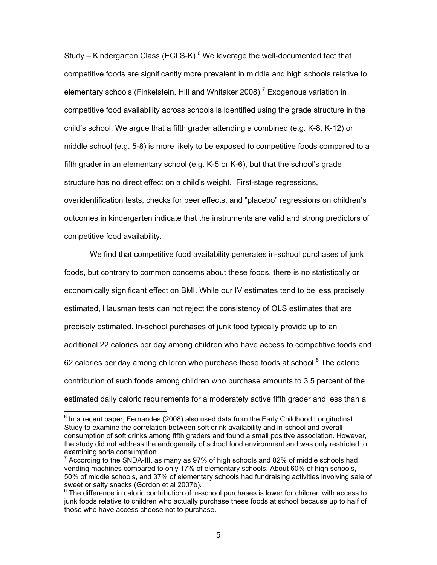Study – Kindergarten Class (ECLS-K).<sup>6</sup> We leverage the well-documented fact that competitive foods are significantly more prevalent in middle and high schools relative to elementary schools (Finkelstein, Hill and Whitaker 2008).<sup>7</sup> Exogenous variation in competitive food availability across schools is identified using the grade structure in the child's school. We argue that a fifth grader attending a combined (e.g. K-8, K-12) or middle school (e.g. 5-8) is more likely to be exposed to competitive foods compared to a fifth grader in an elementary school (e.g. K-5 or K-6), but that the school's grade structure has no direct effect on a child's weight. First-stage regressions, overidentification tests, checks for peer effects, and "placebo" regressions on children's outcomes in kindergarten indicate that the instruments are valid and strong predictors of competitive food availability.

We find that competitive food availability generates in-school purchases of junk foods, but contrary to common concerns about these foods, there is no statistically or economically significant effect on BMI. While our IV estimates tend to be less precisely estimated, Hausman tests can not reject the consistency of OLS estimates that are precisely estimated. In-school purchases of junk food typically provide up to an additional 22 calories per day among children who have access to competitive foods and 62 calories per day among children who purchase these foods at school. $8$  The caloric contribution of such foods among children who purchase amounts to 3.5 percent of the estimated daily caloric requirements for a moderately active fifth grader and less than a

 $<sup>6</sup>$  In a recent paper, Fernandes (2008) also used data from the Early Childhood Longitudinal</sup> Study to examine the correlation between soft drink availability and in-school and overall consumption of soft drinks among fifth graders and found a small positive association. However, the study did not address the endogeneity of school food environment and was only restricted to examining soda consumption.

<sup>7</sup> According to the SNDA-III, as many as 97% of high schools and 82% of middle schools had vending machines compared to only 17% of elementary schools. About 60% of high schools, 50% of middle schools, and 37% of elementary schools had fundraising activities involving sale of sweet or salty snacks (Gordon et al 2007b).

 $8$  The difference in caloric contribution of in-school purchases is lower for children with access to junk foods relative to children who actually purchase these foods at school because up to half of those who have access choose not to purchase.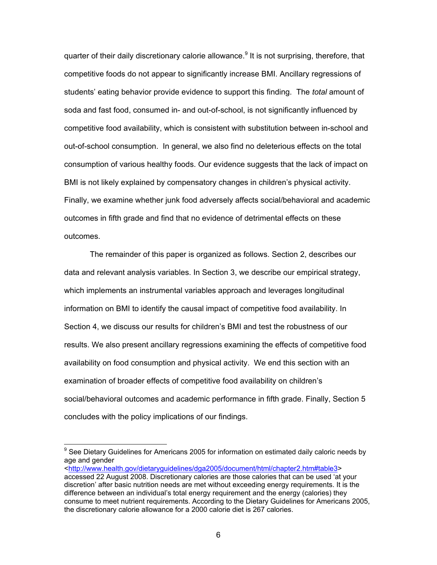quarter of their daily discretionary calorie allowance.<sup>9</sup> It is not surprising, therefore, that competitive foods do not appear to significantly increase BMI. Ancillary regressions of students' eating behavior provide evidence to support this finding. The *total* amount of soda and fast food, consumed in- and out-of-school, is not significantly influenced by competitive food availability, which is consistent with substitution between in-school and out-of-school consumption. In general, we also find no deleterious effects on the total consumption of various healthy foods. Our evidence suggests that the lack of impact on BMI is not likely explained by compensatory changes in children's physical activity. Finally, we examine whether junk food adversely affects social/behavioral and academic outcomes in fifth grade and find that no evidence of detrimental effects on these outcomes.

The remainder of this paper is organized as follows. Section 2, describes our data and relevant analysis variables. In Section 3, we describe our empirical strategy, which implements an instrumental variables approach and leverages longitudinal information on BMI to identify the causal impact of competitive food availability. In Section 4, we discuss our results for children's BMI and test the robustness of our results. We also present ancillary regressions examining the effects of competitive food availability on food consumption and physical activity. We end this section with an examination of broader effects of competitive food availability on children's social/behavioral outcomes and academic performance in fifth grade. Finally, Section 5 concludes with the policy implications of our findings.

<[http://www.health.gov/dietaryguidelines/dga2005/document/html/chapter2.htm#table3>](http://www.health.gov/dietaryguidelines/dga2005/document/html/chapter2.htm#table3)

<sup>&</sup>lt;sup>9</sup> See Dietary Guidelines for Americans 2005 for information on estimated daily caloric needs by age and gender

accessed 22 August 2008. Discretionary calories are those calories that can be used 'at your discretion' after basic nutrition needs are met without exceeding energy requirements. It is the difference between an individual's total energy requirement and the energy (calories) they consume to meet nutrient requirements. According to the Dietary Guidelines for Americans 2005, the discretionary calorie allowance for a 2000 calorie diet is 267 calories.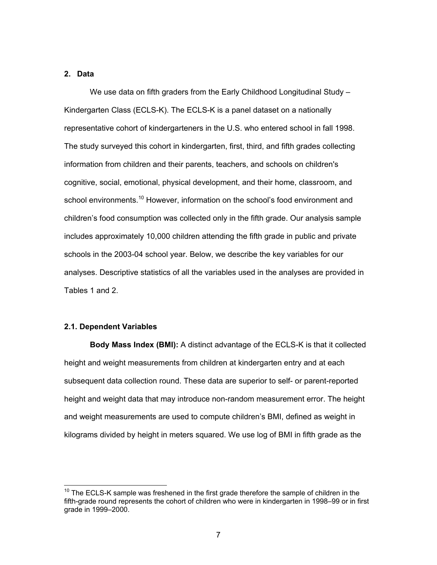## **2. Data**

We use data on fifth graders from the Early Childhood Longitudinal Study – Kindergarten Class (ECLS-K). The ECLS-K is a panel dataset on a nationally representative cohort of kindergarteners in the U.S. who entered school in fall 1998. The study surveyed this cohort in kindergarten, first, third, and fifth grades collecting information from children and their parents, teachers, and schools on children's cognitive, social, emotional, physical development, and their home, classroom, and school environments.<sup>10</sup> However, information on the school's food environment and children's food consumption was collected only in the fifth grade. Our analysis sample includes approximately 10,000 children attending the fifth grade in public and private schools in the 2003-04 school year. Below, we describe the key variables for our analyses. Descriptive statistics of all the variables used in the analyses are provided in Tables 1 and 2.

## **2.1. Dependent Variables**

 $\overline{a}$ 

**Body Mass Index (BMI):** A distinct advantage of the ECLS-K is that it collected height and weight measurements from children at kindergarten entry and at each subsequent data collection round. These data are superior to self- or parent-reported height and weight data that may introduce non-random measurement error. The height and weight measurements are used to compute children's BMI, defined as weight in kilograms divided by height in meters squared. We use log of BMI in fifth grade as the

 $10$  The ECLS-K sample was freshened in the first grade therefore the sample of children in the fifth-grade round represents the cohort of children who were in kindergarten in 1998–99 or in first grade in 1999–2000.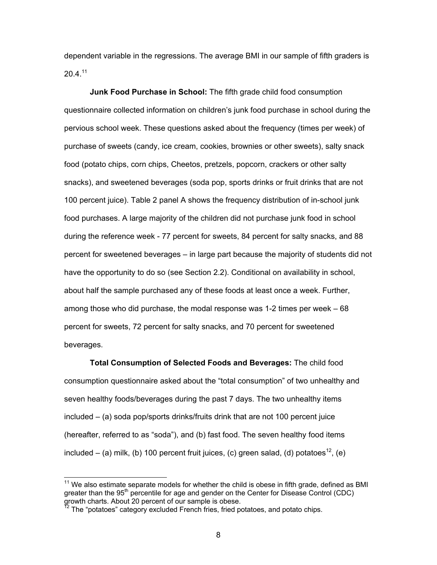dependent variable in the regressions. The average BMI in our sample of fifth graders is  $20.4$ <sup>11</sup>

**Junk Food Purchase in School:** The fifth grade child food consumption questionnaire collected information on children's junk food purchase in school during the pervious school week. These questions asked about the frequency (times per week) of purchase of sweets (candy, ice cream, cookies, brownies or other sweets), salty snack food (potato chips, corn chips, Cheetos, pretzels, popcorn, crackers or other salty snacks), and sweetened beverages (soda pop, sports drinks or fruit drinks that are not 100 percent juice). Table 2 panel A shows the frequency distribution of in-school junk food purchases. A large majority of the children did not purchase junk food in school during the reference week - 77 percent for sweets, 84 percent for salty snacks, and 88 percent for sweetened beverages – in large part because the majority of students did not have the opportunity to do so (see Section 2.2). Conditional on availability in school, about half the sample purchased any of these foods at least once a week. Further, among those who did purchase, the modal response was 1-2 times per week – 68 percent for sweets, 72 percent for salty snacks, and 70 percent for sweetened beverages.

**Total Consumption of Selected Foods and Beverages:** The child food consumption questionnaire asked about the "total consumption" of two unhealthy and seven healthy foods/beverages during the past 7 days. The two unhealthy items included – (a) soda pop/sports drinks/fruits drink that are not 100 percent juice (hereafter, referred to as "soda"), and (b) fast food. The seven healthy food items included – (a) milk, (b) 100 percent fruit juices, (c) green salad, (d) potatoes<sup>12</sup>, (e)

-

 $11$  We also estimate separate models for whether the child is obese in fifth grade, defined as BMI greater than the  $95<sup>th</sup>$  percentile for age and gender on the Center for Disease Control (CDC) growth charts. About 20 percent of our sample is obese.

The "potatoes" category excluded French fries, fried potatoes, and potato chips.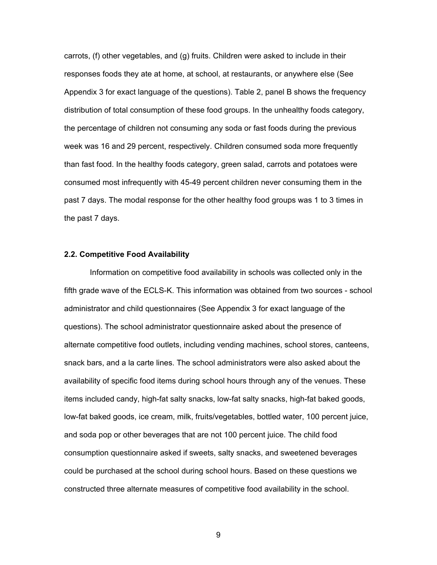carrots, (f) other vegetables, and (g) fruits. Children were asked to include in their responses foods they ate at home, at school, at restaurants, or anywhere else (See Appendix 3 for exact language of the questions). Table 2, panel B shows the frequency distribution of total consumption of these food groups. In the unhealthy foods category, the percentage of children not consuming any soda or fast foods during the previous week was 16 and 29 percent, respectively. Children consumed soda more frequently than fast food. In the healthy foods category, green salad, carrots and potatoes were consumed most infrequently with 45-49 percent children never consuming them in the past 7 days. The modal response for the other healthy food groups was 1 to 3 times in the past 7 days.

## **2.2. Competitive Food Availability**

Information on competitive food availability in schools was collected only in the fifth grade wave of the ECLS-K. This information was obtained from two sources - school administrator and child questionnaires (See Appendix 3 for exact language of the questions). The school administrator questionnaire asked about the presence of alternate competitive food outlets, including vending machines, school stores, canteens, snack bars, and a la carte lines. The school administrators were also asked about the availability of specific food items during school hours through any of the venues. These items included candy, high-fat salty snacks, low-fat salty snacks, high-fat baked goods, low-fat baked goods, ice cream, milk, fruits/vegetables, bottled water, 100 percent juice, and soda pop or other beverages that are not 100 percent juice. The child food consumption questionnaire asked if sweets, salty snacks, and sweetened beverages could be purchased at the school during school hours. Based on these questions we constructed three alternate measures of competitive food availability in the school.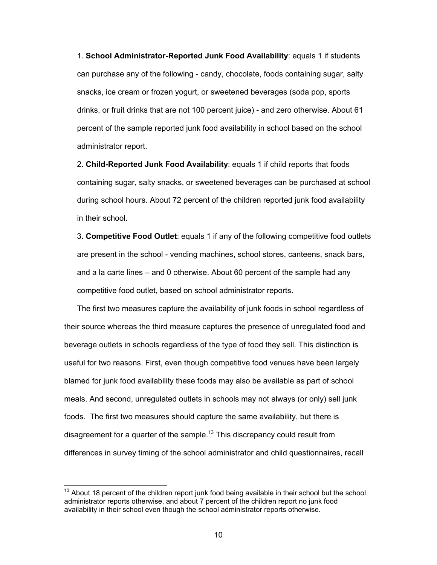1. **School Administrator-Reported Junk Food Availability**: equals 1 if students can purchase any of the following - candy, chocolate, foods containing sugar, salty snacks, ice cream or frozen yogurt, or sweetened beverages (soda pop, sports drinks, or fruit drinks that are not 100 percent juice) - and zero otherwise. About 61 percent of the sample reported junk food availability in school based on the school administrator report.

2. **Child-Reported Junk Food Availability**: equals 1 if child reports that foods containing sugar, salty snacks, or sweetened beverages can be purchased at school during school hours. About 72 percent of the children reported junk food availability in their school.

3. **Competitive Food Outlet**: equals 1 if any of the following competitive food outlets are present in the school - vending machines, school stores, canteens, snack bars, and a la carte lines – and 0 otherwise. About 60 percent of the sample had any competitive food outlet, based on school administrator reports.

The first two measures capture the availability of junk foods in school regardless of their source whereas the third measure captures the presence of unregulated food and beverage outlets in schools regardless of the type of food they sell. This distinction is useful for two reasons. First, even though competitive food venues have been largely blamed for junk food availability these foods may also be available as part of school meals. And second, unregulated outlets in schools may not always (or only) sell junk foods. The first two measures should capture the same availability, but there is disagreement for a quarter of the sample.<sup>13</sup> This discrepancy could result from differences in survey timing of the school administrator and child questionnaires, recall

 $13$  About 18 percent of the children report junk food being available in their school but the school administrator reports otherwise, and about 7 percent of the children report no junk food availability in their school even though the school administrator reports otherwise.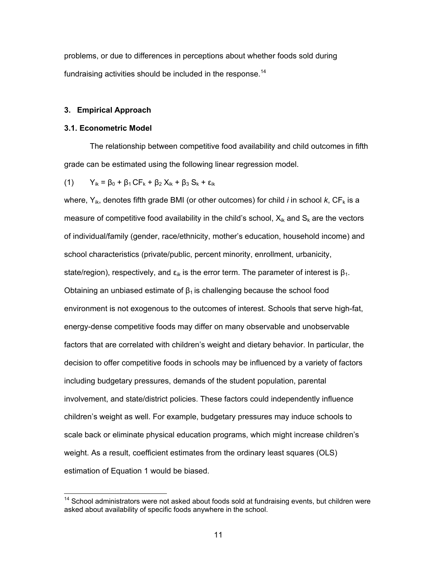problems, or due to differences in perceptions about whether foods sold during fundraising activities should be included in the response.<sup>14</sup>

## **3. Empirical Approach**

## **3.1. Econometric Model**

The relationship between competitive food availability and child outcomes in fifth grade can be estimated using the following linear regression model.

(1) 
$$
Y_{ik} = \beta_0 + \beta_1 CF_k + \beta_2 X_{ik} + \beta_3 S_k + \varepsilon_{ik}
$$

where,  $Y_{ik}$ , denotes fifth grade BMI (or other outcomes) for child *i* in school *k*,  $CF_k$  is a measure of competitive food availability in the child's school,  $X_{ik}$  and  $S_k$  are the vectors of individual/family (gender, race/ethnicity, mother's education, household income) and school characteristics (private/public, percent minority, enrollment, urbanicity, state/region), respectively, and  $\epsilon_{ik}$  is the error term. The parameter of interest is  $\beta_1$ . Obtaining an unbiased estimate of  $\beta_1$  is challenging because the school food environment is not exogenous to the outcomes of interest. Schools that serve high-fat, energy-dense competitive foods may differ on many observable and unobservable factors that are correlated with children's weight and dietary behavior. In particular, the decision to offer competitive foods in schools may be influenced by a variety of factors including budgetary pressures, demands of the student population, parental involvement, and state/district policies. These factors could independently influence children's weight as well. For example, budgetary pressures may induce schools to scale back or eliminate physical education programs, which might increase children's weight. As a result, coefficient estimates from the ordinary least squares (OLS) estimation of Equation 1 would be biased.

 $14$  School administrators were not asked about foods sold at fundraising events, but children were asked about availability of specific foods anywhere in the school.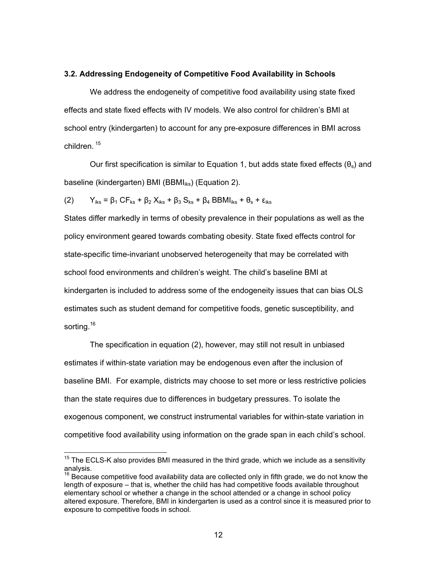#### **3.2. Addressing Endogeneity of Competitive Food Availability in Schools**

We address the endogeneity of competitive food availability using state fixed effects and state fixed effects with IV models. We also control for children's BMI at school entry (kindergarten) to account for any pre-exposure differences in BMI across children.<sup>15</sup>

Our first specification is similar to Equation 1, but adds state fixed effects  $(\theta_s)$  and baseline (kindergarten) BMI (BBMI $_{iks}$ ) (Equation 2).

(2)  $Y_{iks} = \beta_1 CF_{ks} + \beta_2 X_{iks} + \beta_3 S_{ks} + \beta_4 BBMI_{iks} + \theta_s + \varepsilon_{iks}$ 

States differ markedly in terms of obesity prevalence in their populations as well as the policy environment geared towards combating obesity. State fixed effects control for state-specific time-invariant unobserved heterogeneity that may be correlated with school food environments and children's weight. The child's baseline BMI at kindergarten is included to address some of the endogeneity issues that can bias OLS estimates such as student demand for competitive foods, genetic susceptibility, and sorting.<sup>16</sup>

The specification in equation (2), however, may still not result in unbiased estimates if within-state variation may be endogenous even after the inclusion of baseline BMI. For example, districts may choose to set more or less restrictive policies than the state requires due to differences in budgetary pressures. To isolate the exogenous component, we construct instrumental variables for within-state variation in competitive food availability using information on the grade span in each child's school.

 $15$  The ECLS-K also provides BMI measured in the third grade, which we include as a sensitivity analysis.

 $16$  Because competitive food availability data are collected only in fifth grade, we do not know the length of exposure – that is, whether the child has had competitive foods available throughout elementary school or whether a change in the school attended or a change in school policy altered exposure. Therefore, BMI in kindergarten is used as a control since it is measured prior to exposure to competitive foods in school.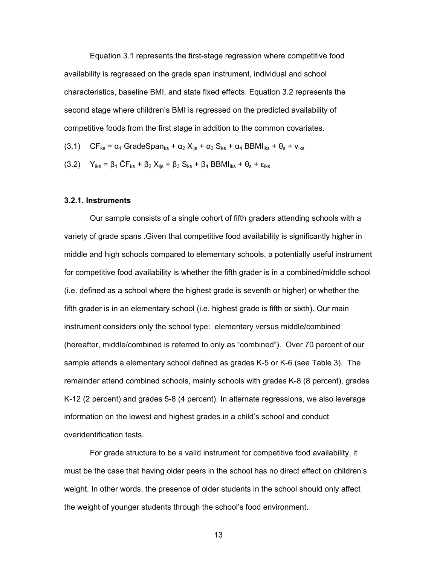Equation 3.1 represents the first-stage regression where competitive food availability is regressed on the grade span instrument, individual and school characteristics, baseline BMI, and state fixed effects. Equation 3.2 represents the second stage where children's BMI is regressed on the predicted availability of competitive foods from the first stage in addition to the common covariates.

- (3.1)  $CF_{ks} = \alpha_1$  GradeSpan<sub>ks</sub> +  $\alpha_2$  X<sub>iis</sub> +  $\alpha_3$  S<sub>ks</sub> +  $\alpha_4$  BBMI<sub>iks</sub> +  $\theta_s$  +  $v_{iks}$
- (3.2)  $Y_{iks} = \beta_1 \hat{C} F_{ks} + \beta_2 X_{ijs} + \beta_3 S_{ks} + \beta_4 BBMI_{iks} + \theta_s + \varepsilon_{iks}$

## **3.2.1. Instruments**

Our sample consists of a single cohort of fifth graders attending schools with a variety of grade spans .Given that competitive food availability is significantly higher in middle and high schools compared to elementary schools, a potentially useful instrument for competitive food availability is whether the fifth grader is in a combined/middle school (i.e. defined as a school where the highest grade is seventh or higher) or whether the fifth grader is in an elementary school (i.e. highest grade is fifth or sixth). Our main instrument considers only the school type: elementary versus middle/combined (hereafter, middle/combined is referred to only as "combined"). Over 70 percent of our sample attends a elementary school defined as grades K-5 or K-6 (see Table 3). The remainder attend combined schools, mainly schools with grades K-8 (8 percent), grades K-12 (2 percent) and grades 5-8 (4 percent). In alternate regressions, we also leverage information on the lowest and highest grades in a child's school and conduct overidentification tests.

For grade structure to be a valid instrument for competitive food availability, it must be the case that having older peers in the school has no direct effect on children's weight. In other words, the presence of older students in the school should only affect the weight of younger students through the school's food environment.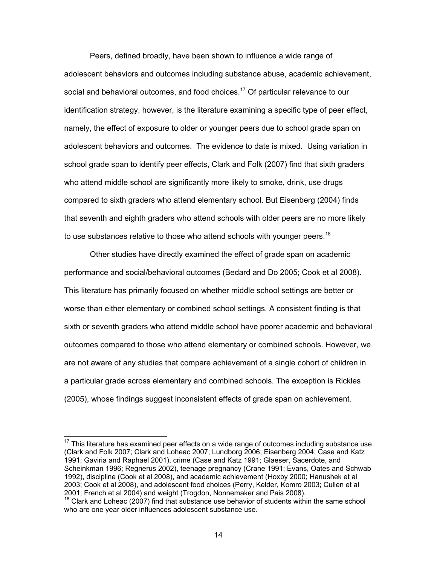Peers, defined broadly, have been shown to influence a wide range of adolescent behaviors and outcomes including substance abuse, academic achievement, social and behavioral outcomes, and food choices.<sup>17</sup> Of particular relevance to our identification strategy, however, is the literature examining a specific type of peer effect, namely, the effect of exposure to older or younger peers due to school grade span on adolescent behaviors and outcomes. The evidence to date is mixed. Using variation in school grade span to identify peer effects, Clark and Folk (2007) find that sixth graders who attend middle school are significantly more likely to smoke, drink, use drugs compared to sixth graders who attend elementary school. But Eisenberg (2004) finds that seventh and eighth graders who attend schools with older peers are no more likely to use substances relative to those who attend schools with younger peers.<sup>18</sup>

Other studies have directly examined the effect of grade span on academic performance and social/behavioral outcomes (Bedard and Do 2005; Cook et al 2008). This literature has primarily focused on whether middle school settings are better or worse than either elementary or combined school settings. A consistent finding is that sixth or seventh graders who attend middle school have poorer academic and behavioral outcomes compared to those who attend elementary or combined schools. However, we are not aware of any studies that compare achievement of a single cohort of children in a particular grade across elementary and combined schools. The exception is Rickles (2005), whose findings suggest inconsistent effects of grade span on achievement.

 $\overline{a}$ 

 $17$  This literature has examined peer effects on a wide range of outcomes including substance use (Clark and Folk 2007; Clark and Loheac 2007; Lundborg 2006; Eisenberg 2004; Case and Katz 1991; Gaviria and Raphael 2001), crime (Case and Katz 1991; Glaeser, Sacerdote, and Scheinkman 1996; Regnerus 2002), teenage pregnancy (Crane 1991; Evans, Oates and Schwab 1992), discipline (Cook et al 2008), and academic achievement (Hoxby 2000; Hanushek et al 2003; Cook et al 2008), and adolescent food choices (Perry, Kelder, Komro 2003; Cullen et al 2001; French et al 2004) and weight (Trogdon, Nonnemaker and Pais 2008).

<sup>&</sup>lt;sup>18</sup> Clark and Loheac (2007) find that substance use behavior of students within the same school who are one year older influences adolescent substance use.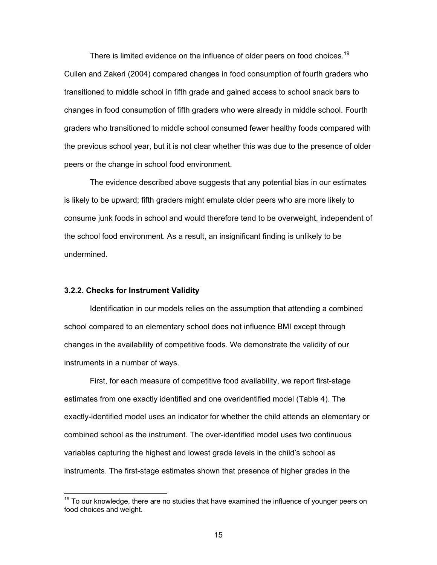There is limited evidence on the influence of older peers on food choices.<sup>19</sup> Cullen and Zakeri (2004) compared changes in food consumption of fourth graders who transitioned to middle school in fifth grade and gained access to school snack bars to changes in food consumption of fifth graders who were already in middle school. Fourth graders who transitioned to middle school consumed fewer healthy foods compared with the previous school year, but it is not clear whether this was due to the presence of older peers or the change in school food environment.

The evidence described above suggests that any potential bias in our estimates is likely to be upward; fifth graders might emulate older peers who are more likely to consume junk foods in school and would therefore tend to be overweight, independent of the school food environment. As a result, an insignificant finding is unlikely to be undermined.

## **3.2.2. Checks for Instrument Validity**

-

Identification in our models relies on the assumption that attending a combined school compared to an elementary school does not influence BMI except through changes in the availability of competitive foods. We demonstrate the validity of our instruments in a number of ways.

First, for each measure of competitive food availability, we report first-stage estimates from one exactly identified and one overidentified model (Table 4). The exactly-identified model uses an indicator for whether the child attends an elementary or combined school as the instrument. The over-identified model uses two continuous variables capturing the highest and lowest grade levels in the child's school as instruments. The first-stage estimates shown that presence of higher grades in the

 $19$  To our knowledge, there are no studies that have examined the influence of younger peers on food choices and weight.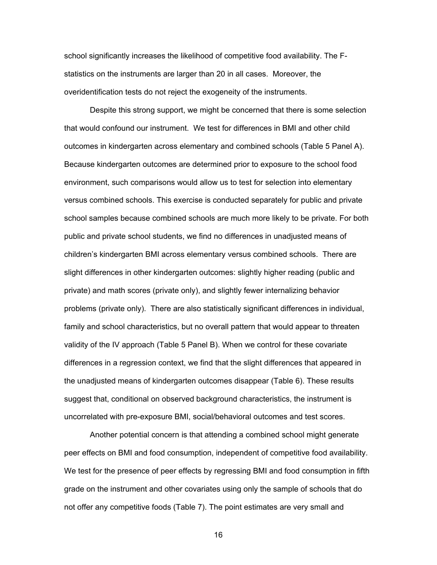school significantly increases the likelihood of competitive food availability. The Fstatistics on the instruments are larger than 20 in all cases. Moreover, the overidentification tests do not reject the exogeneity of the instruments.

Despite this strong support, we might be concerned that there is some selection that would confound our instrument. We test for differences in BMI and other child outcomes in kindergarten across elementary and combined schools (Table 5 Panel A). Because kindergarten outcomes are determined prior to exposure to the school food environment, such comparisons would allow us to test for selection into elementary versus combined schools. This exercise is conducted separately for public and private school samples because combined schools are much more likely to be private. For both public and private school students, we find no differences in unadjusted means of children's kindergarten BMI across elementary versus combined schools. There are slight differences in other kindergarten outcomes: slightly higher reading (public and private) and math scores (private only), and slightly fewer internalizing behavior problems (private only). There are also statistically significant differences in individual, family and school characteristics, but no overall pattern that would appear to threaten validity of the IV approach (Table 5 Panel B). When we control for these covariate differences in a regression context, we find that the slight differences that appeared in the unadjusted means of kindergarten outcomes disappear (Table 6). These results suggest that, conditional on observed background characteristics, the instrument is uncorrelated with pre-exposure BMI, social/behavioral outcomes and test scores.

Another potential concern is that attending a combined school might generate peer effects on BMI and food consumption, independent of competitive food availability. We test for the presence of peer effects by regressing BMI and food consumption in fifth grade on the instrument and other covariates using only the sample of schools that do not offer any competitive foods (Table 7). The point estimates are very small and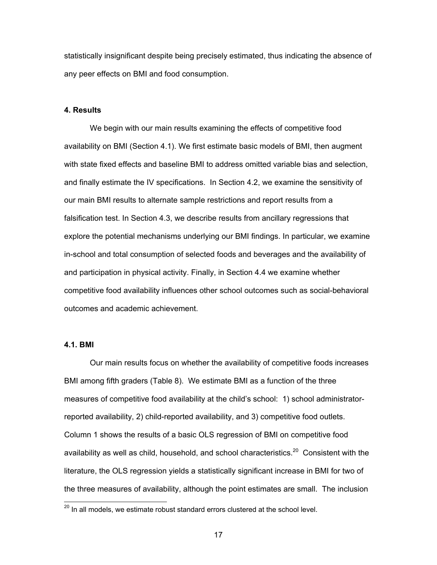statistically insignificant despite being precisely estimated, thus indicating the absence of any peer effects on BMI and food consumption.

## **4. Results**

We begin with our main results examining the effects of competitive food availability on BMI (Section 4.1). We first estimate basic models of BMI, then augment with state fixed effects and baseline BMI to address omitted variable bias and selection, and finally estimate the IV specifications. In Section 4.2, we examine the sensitivity of our main BMI results to alternate sample restrictions and report results from a falsification test. In Section 4.3, we describe results from ancillary regressions that explore the potential mechanisms underlying our BMI findings. In particular, we examine in-school and total consumption of selected foods and beverages and the availability of and participation in physical activity. Finally, in Section 4.4 we examine whether competitive food availability influences other school outcomes such as social-behavioral outcomes and academic achievement.

#### **4.1. BMI**

-

Our main results focus on whether the availability of competitive foods increases BMI among fifth graders (Table 8). We estimate BMI as a function of the three measures of competitive food availability at the child's school: 1) school administratorreported availability, 2) child-reported availability, and 3) competitive food outlets. Column 1 shows the results of a basic OLS regression of BMI on competitive food availability as well as child, household, and school characteristics.<sup>20</sup> Consistent with the literature, the OLS regression yields a statistically significant increase in BMI for two of the three measures of availability, although the point estimates are small. The inclusion

 $^{20}$  In all models, we estimate robust standard errors clustered at the school level.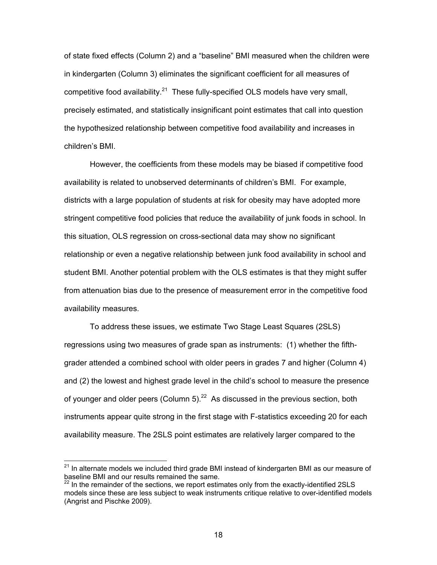of state fixed effects (Column 2) and a "baseline" BMI measured when the children were in kindergarten (Column 3) eliminates the significant coefficient for all measures of competitive food availability.<sup>21</sup> These fully-specified OLS models have very small, precisely estimated, and statistically insignificant point estimates that call into question the hypothesized relationship between competitive food availability and increases in children's BMI.

 However, the coefficients from these models may be biased if competitive food availability is related to unobserved determinants of children's BMI. For example, districts with a large population of students at risk for obesity may have adopted more stringent competitive food policies that reduce the availability of junk foods in school. In this situation, OLS regression on cross-sectional data may show no significant relationship or even a negative relationship between junk food availability in school and student BMI. Another potential problem with the OLS estimates is that they might suffer from attenuation bias due to the presence of measurement error in the competitive food availability measures.

To address these issues, we estimate Two Stage Least Squares (2SLS) regressions using two measures of grade span as instruments: (1) whether the fifthgrader attended a combined school with older peers in grades 7 and higher (Column 4) and (2) the lowest and highest grade level in the child's school to measure the presence of younger and older peers (Column  $5$ ).<sup>22</sup> As discussed in the previous section, both instruments appear quite strong in the first stage with F-statistics exceeding 20 for each availability measure. The 2SLS point estimates are relatively larger compared to the

 $\overline{a}$ 

 $^{21}$  In alternate models we included third grade BMI instead of kindergarten BMI as our measure of baseline BMI and our results remained the same.

 $^{22}$  In the remainder of the sections, we report estimates only from the exactly-identified 2SLS models since these are less subject to weak instruments critique relative to over-identified models (Angrist and Pischke 2009).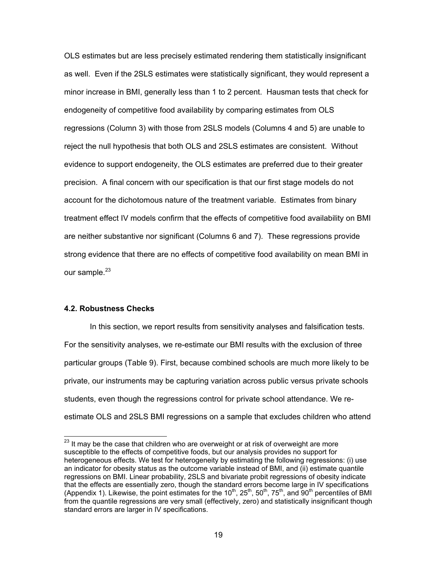OLS estimates but are less precisely estimated rendering them statistically insignificant as well. Even if the 2SLS estimates were statistically significant, they would represent a minor increase in BMI, generally less than 1 to 2 percent. Hausman tests that check for endogeneity of competitive food availability by comparing estimates from OLS regressions (Column 3) with those from 2SLS models (Columns 4 and 5) are unable to reject the null hypothesis that both OLS and 2SLS estimates are consistent. Without evidence to support endogeneity, the OLS estimates are preferred due to their greater precision. A final concern with our specification is that our first stage models do not account for the dichotomous nature of the treatment variable. Estimates from binary treatment effect IV models confirm that the effects of competitive food availability on BMI are neither substantive nor significant (Columns 6 and 7). These regressions provide strong evidence that there are no effects of competitive food availability on mean BMI in our sample. $^{23}$ 

## **4.2. Robustness Checks**

 $\overline{a}$ 

 In this section, we report results from sensitivity analyses and falsification tests. For the sensitivity analyses, we re-estimate our BMI results with the exclusion of three particular groups (Table 9). First, because combined schools are much more likely to be private, our instruments may be capturing variation across public versus private schools students, even though the regressions control for private school attendance. We reestimate OLS and 2SLS BMI regressions on a sample that excludes children who attend

 $^{23}$  It may be the case that children who are overweight or at risk of overweight are more susceptible to the effects of competitive foods, but our analysis provides no support for heterogeneous effects. We test for heterogeneity by estimating the following regressions: (i) use an indicator for obesity status as the outcome variable instead of BMI, and (ii) estimate quantile regressions on BMI. Linear probability, 2SLS and bivariate probit regressions of obesity indicate that the effects are essentially zero, though the standard errors become large in IV specifications (Appendix 1). Likewise, the point estimates for the  $10^{th}$ ,  $25^{th}$ ,  $50^{th}$ ,  $75^{th}$ , and  $90^{th}$  percentiles of BMI from the quantile regressions are very small (effectively, zero) and statistically insignificant though standard errors are larger in IV specifications.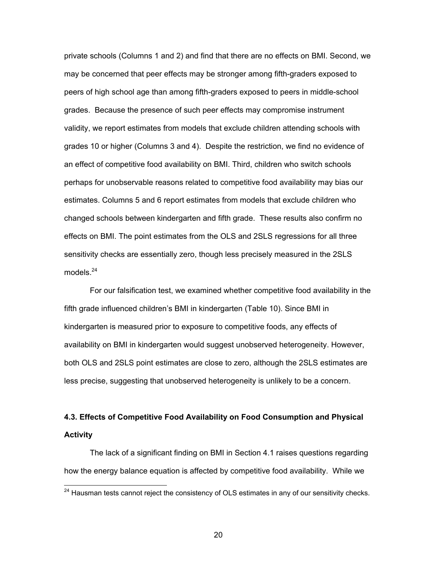private schools (Columns 1 and 2) and find that there are no effects on BMI. Second, we may be concerned that peer effects may be stronger among fifth-graders exposed to peers of high school age than among fifth-graders exposed to peers in middle-school grades. Because the presence of such peer effects may compromise instrument validity, we report estimates from models that exclude children attending schools with grades 10 or higher (Columns 3 and 4). Despite the restriction, we find no evidence of an effect of competitive food availability on BMI. Third, children who switch schools perhaps for unobservable reasons related to competitive food availability may bias our estimates. Columns 5 and 6 report estimates from models that exclude children who changed schools between kindergarten and fifth grade. These results also confirm no effects on BMI. The point estimates from the OLS and 2SLS regressions for all three sensitivity checks are essentially zero, though less precisely measured in the 2SLS models $^{24}$ 

For our falsification test, we examined whether competitive food availability in the fifth grade influenced children's BMI in kindergarten (Table 10). Since BMI in kindergarten is measured prior to exposure to competitive foods, any effects of availability on BMI in kindergarten would suggest unobserved heterogeneity. However, both OLS and 2SLS point estimates are close to zero, although the 2SLS estimates are less precise, suggesting that unobserved heterogeneity is unlikely to be a concern.

## **4.3. Effects of Competitive Food Availability on Food Consumption and Physical Activity**

The lack of a significant finding on BMI in Section 4.1 raises questions regarding how the energy balance equation is affected by competitive food availability. While we

 $\overline{a}$ 

 $^{24}$  Hausman tests cannot reject the consistency of OLS estimates in any of our sensitivity checks.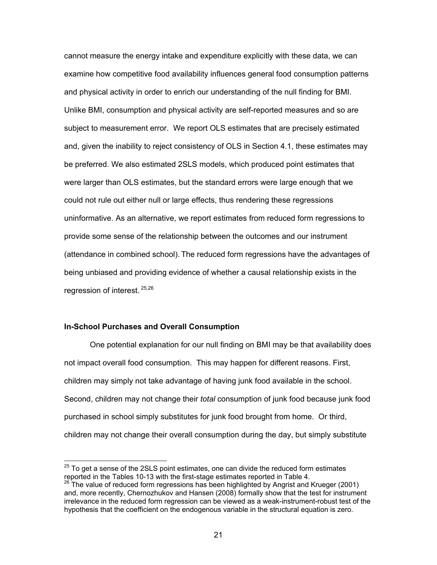cannot measure the energy intake and expenditure explicitly with these data, we can examine how competitive food availability influences general food consumption patterns and physical activity in order to enrich our understanding of the null finding for BMI. Unlike BMI, consumption and physical activity are self-reported measures and so are subject to measurement error. We report OLS estimates that are precisely estimated and, given the inability to reject consistency of OLS in Section 4.1, these estimates may be preferred. We also estimated 2SLS models, which produced point estimates that were larger than OLS estimates, but the standard errors were large enough that we could not rule out either null or large effects, thus rendering these regressions uninformative. As an alternative, we report estimates from reduced form regressions to provide some sense of the relationship between the outcomes and our instrument (attendance in combined school). The reduced form regressions have the advantages of being unbiased and providing evidence of whether a causal relationship exists in the regression of interest. 25,26

## **In-School Purchases and Overall Consumption**

 One potential explanation for our null finding on BMI may be that availability does not impact overall food consumption. This may happen for different reasons. First, children may simply not take advantage of having junk food available in the school. Second, children may not change their *total* consumption of junk food because junk food purchased in school simply substitutes for junk food brought from home. Or third, children may not change their overall consumption during the day, but simply substitute

 $^{25}$  To get a sense of the 2SLS point estimates, one can divide the reduced form estimates reported in the Tables 10-13 with the first-stage estimates reported in Table 4.

 $26$  The value of reduced form regressions has been highlighted by Angrist and Krueger (2001) and, more recently, Chernozhukov and Hansen (2008) formally show that the test for instrument irrelevance in the reduced form regression can be viewed as a weak-instrument-robust test of the hypothesis that the coefficient on the endogenous variable in the structural equation is zero.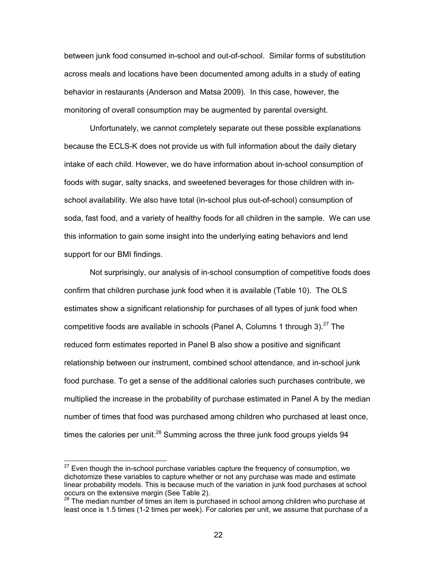between junk food consumed in-school and out-of-school. Similar forms of substitution across meals and locations have been documented among adults in a study of eating behavior in restaurants (Anderson and Matsa 2009). In this case, however, the monitoring of overall consumption may be augmented by parental oversight.

 Unfortunately, we cannot completely separate out these possible explanations because the ECLS-K does not provide us with full information about the daily dietary intake of each child. However, we do have information about in-school consumption of foods with sugar, salty snacks, and sweetened beverages for those children with inschool availability. We also have total (in-school plus out-of-school) consumption of soda, fast food, and a variety of healthy foods for all children in the sample. We can use this information to gain some insight into the underlying eating behaviors and lend support for our BMI findings.

Not surprisingly, our analysis of in-school consumption of competitive foods does confirm that children purchase junk food when it is available (Table 10). The OLS estimates show a significant relationship for purchases of all types of junk food when competitive foods are available in schools (Panel A, Columns 1 through 3).<sup>27</sup> The reduced form estimates reported in Panel B also show a positive and significant relationship between our instrument, combined school attendance, and in-school junk food purchase. To get a sense of the additional calories such purchases contribute, we multiplied the increase in the probability of purchase estimated in Panel A by the median number of times that food was purchased among children who purchased at least once, times the calories per unit.<sup>28</sup> Summing across the three junk food groups yields  $94$ 

 $\overline{a}$ 

 $27$  Even though the in-school purchase variables capture the frequency of consumption, we dichotomize these variables to capture whether or not any purchase was made and estimate linear probability models. This is because much of the variation in junk food purchases at school occurs on the extensive margin (See Table 2).

<sup>28</sup> The median number of times an item is purchased in school among children who purchase at least once is 1.5 times (1-2 times per week). For calories per unit, we assume that purchase of a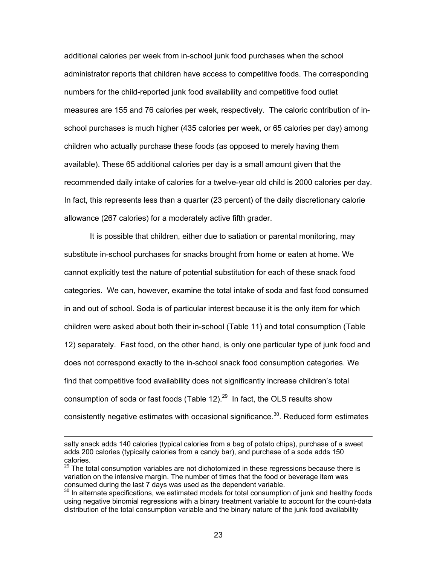additional calories per week from in-school junk food purchases when the school administrator reports that children have access to competitive foods. The corresponding numbers for the child-reported junk food availability and competitive food outlet measures are 155 and 76 calories per week, respectively. The caloric contribution of inschool purchases is much higher (435 calories per week, or 65 calories per day) among children who actually purchase these foods (as opposed to merely having them available). These 65 additional calories per day is a small amount given that the recommended daily intake of calories for a twelve-year old child is 2000 calories per day. In fact, this represents less than a quarter (23 percent) of the daily discretionary calorie allowance (267 calories) for a moderately active fifth grader.

It is possible that children, either due to satiation or parental monitoring, may substitute in-school purchases for snacks brought from home or eaten at home. We cannot explicitly test the nature of potential substitution for each of these snack food categories. We can, however, examine the total intake of soda and fast food consumed in and out of school. Soda is of particular interest because it is the only item for which children were asked about both their in-school (Table 11) and total consumption (Table 12) separately. Fast food, on the other hand, is only one particular type of junk food and does not correspond exactly to the in-school snack food consumption categories. We find that competitive food availability does not significantly increase children's total consumption of soda or fast foods (Table 12). $^{29}$  In fact, the OLS results show consistently negative estimates with occasional significance.<sup>30</sup>. Reduced form estimates

salty snack adds 140 calories (typical calories from a bag of potato chips), purchase of a sweet adds 200 calories (typically calories from a candy bar), and purchase of a soda adds 150 calories.

 $29$  The total consumption variables are not dichotomized in these regressions because there is variation on the intensive margin. The number of times that the food or beverage item was consumed during the last 7 days was used as the dependent variable.

 $30$  In alternate specifications, we estimated models for total consumption of junk and healthy foods using negative binomial regressions with a binary treatment variable to account for the count-data distribution of the total consumption variable and the binary nature of the junk food availability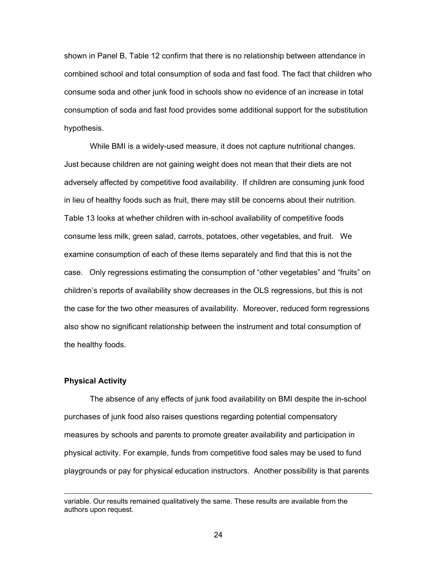shown in Panel B, Table 12 confirm that there is no relationship between attendance in combined school and total consumption of soda and fast food. The fact that children who consume soda and other junk food in schools show no evidence of an increase in total consumption of soda and fast food provides some additional support for the substitution hypothesis.

While BMI is a widely-used measure, it does not capture nutritional changes. Just because children are not gaining weight does not mean that their diets are not adversely affected by competitive food availability. If children are consuming junk food in lieu of healthy foods such as fruit, there may still be concerns about their nutrition. Table 13 looks at whether children with in-school availability of competitive foods consume less milk, green salad, carrots, potatoes, other vegetables, and fruit. We examine consumption of each of these items separately and find that this is not the case. Only regressions estimating the consumption of "other vegetables" and "fruits" on children's reports of availability show decreases in the OLS regressions, but this is not the case for the two other measures of availability. Moreover, reduced form regressions also show no significant relationship between the instrument and total consumption of the healthy foods.

### **Physical Activity**

The absence of any effects of junk food availability on BMI despite the in-school purchases of junk food also raises questions regarding potential compensatory measures by schools and parents to promote greater availability and participation in physical activity. For example, funds from competitive food sales may be used to fund playgrounds or pay for physical education instructors. Another possibility is that parents

<u>24 and 24</u>

variable. Our results remained qualitatively the same. These results are available from the authors upon request.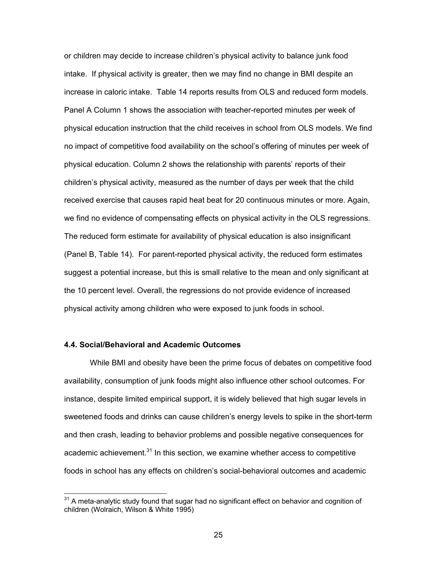or children may decide to increase children's physical activity to balance junk food intake. If physical activity is greater, then we may find no change in BMI despite an increase in caloric intake. Table 14 reports results from OLS and reduced form models. Panel A Column 1 shows the association with teacher-reported minutes per week of physical education instruction that the child receives in school from OLS models. We find no impact of competitive food availability on the school's offering of minutes per week of physical education. Column 2 shows the relationship with parents' reports of their children's physical activity, measured as the number of days per week that the child received exercise that causes rapid heat beat for 20 continuous minutes or more. Again, we find no evidence of compensating effects on physical activity in the OLS regressions. The reduced form estimate for availability of physical education is also insignificant (Panel B, Table 14). For parent-reported physical activity, the reduced form estimates suggest a potential increase, but this is small relative to the mean and only significant at the 10 percent level. Overall, the regressions do not provide evidence of increased physical activity among children who were exposed to junk foods in school.

#### **4.4. Social/Behavioral and Academic Outcomes**

 While BMI and obesity have been the prime focus of debates on competitive food availability, consumption of junk foods might also influence other school outcomes. For instance, despite limited empirical support, it is widely believed that high sugar levels in sweetened foods and drinks can cause children's energy levels to spike in the short-term and then crash, leading to behavior problems and possible negative consequences for academic achievement.<sup>31</sup> In this section, we examine whether access to competitive foods in school has any effects on children's social-behavioral outcomes and academic

 $31$  A meta-analytic study found that sugar had no significant effect on behavior and cognition of children (Wolraich, Wilson & White 1995)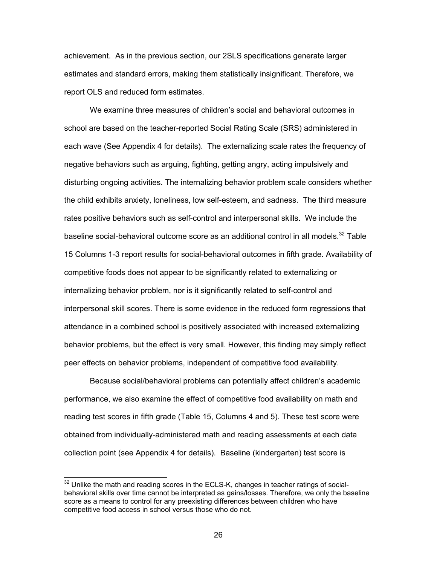achievement. As in the previous section, our 2SLS specifications generate larger estimates and standard errors, making them statistically insignificant. Therefore, we report OLS and reduced form estimates.

We examine three measures of children's social and behavioral outcomes in school are based on the teacher-reported Social Rating Scale (SRS) administered in each wave (See Appendix 4 for details). The externalizing scale rates the frequency of negative behaviors such as arguing, fighting, getting angry, acting impulsively and disturbing ongoing activities. The internalizing behavior problem scale considers whether the child exhibits anxiety, loneliness, low self-esteem, and sadness. The third measure rates positive behaviors such as self-control and interpersonal skills. We include the baseline social-behavioral outcome score as an additional control in all models.<sup>32</sup> Table 15 Columns 1-3 report results for social-behavioral outcomes in fifth grade. Availability of competitive foods does not appear to be significantly related to externalizing or internalizing behavior problem, nor is it significantly related to self-control and interpersonal skill scores. There is some evidence in the reduced form regressions that attendance in a combined school is positively associated with increased externalizing behavior problems, but the effect is very small. However, this finding may simply reflect peer effects on behavior problems, independent of competitive food availability.

Because social/behavioral problems can potentially affect children's academic performance, we also examine the effect of competitive food availability on math and reading test scores in fifth grade (Table 15, Columns 4 and 5). These test score were obtained from individually-administered math and reading assessments at each data collection point (see Appendix 4 for details). Baseline (kindergarten) test score is

-

 $32$  Unlike the math and reading scores in the ECLS-K, changes in teacher ratings of socialbehavioral skills over time cannot be interpreted as gains/losses. Therefore, we only the baseline score as a means to control for any preexisting differences between children who have competitive food access in school versus those who do not.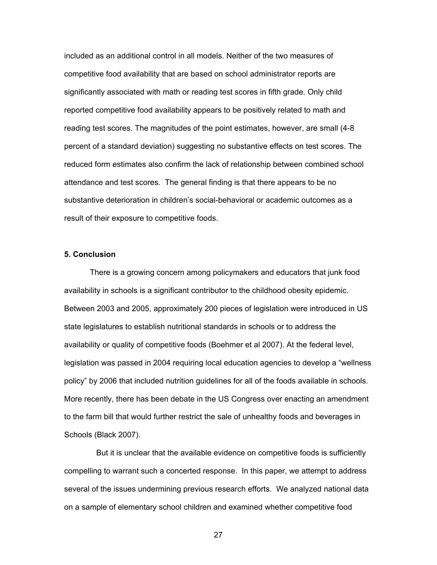included as an additional control in all models. Neither of the two measures of competitive food availability that are based on school administrator reports are significantly associated with math or reading test scores in fifth grade. Only child reported competitive food availability appears to be positively related to math and reading test scores. The magnitudes of the point estimates, however, are small (4-8 percent of a standard deviation) suggesting no substantive effects on test scores. The reduced form estimates also confirm the lack of relationship between combined school attendance and test scores. The general finding is that there appears to be no substantive deterioration in children's social-behavioral or academic outcomes as a result of their exposure to competitive foods.

## **5. Conclusion**

There is a growing concern among policymakers and educators that junk food availability in schools is a significant contributor to the childhood obesity epidemic. Between 2003 and 2005, approximately 200 pieces of legislation were introduced in US state legislatures to establish nutritional standards in schools or to address the availability or quality of competitive foods (Boehmer et al 2007). At the federal level, legislation was passed in 2004 requiring local education agencies to develop a "wellness policy" by 2006 that included nutrition guidelines for all of the foods available in schools. More recently, there has been debate in the US Congress over enacting an amendment to the farm bill that would further restrict the sale of unhealthy foods and beverages in Schools (Black 2007).

But it is unclear that the available evidence on competitive foods is sufficiently compelling to warrant such a concerted response. In this paper, we attempt to address several of the issues undermining previous research efforts. We analyzed national data on a sample of elementary school children and examined whether competitive food

<u>27 and 27</u>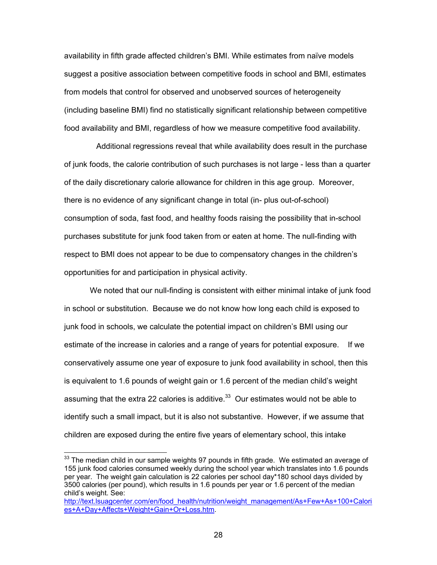availability in fifth grade affected children's BMI. While estimates from naïve models suggest a positive association between competitive foods in school and BMI, estimates from models that control for observed and unobserved sources of heterogeneity (including baseline BMI) find no statistically significant relationship between competitive food availability and BMI, regardless of how we measure competitive food availability.

Additional regressions reveal that while availability does result in the purchase of junk foods, the calorie contribution of such purchases is not large - less than a quarter of the daily discretionary calorie allowance for children in this age group. Moreover, there is no evidence of any significant change in total (in- plus out-of-school) consumption of soda, fast food, and healthy foods raising the possibility that in-school purchases substitute for junk food taken from or eaten at home. The null-finding with respect to BMI does not appear to be due to compensatory changes in the children's opportunities for and participation in physical activity.

We noted that our null-finding is consistent with either minimal intake of junk food in school or substitution. Because we do not know how long each child is exposed to junk food in schools, we calculate the potential impact on children's BMI using our estimate of the increase in calories and a range of years for potential exposure. If we conservatively assume one year of exposure to junk food availability in school, then this is equivalent to 1.6 pounds of weight gain or 1.6 percent of the median child's weight assuming that the extra 22 calories is additive. $33$  Our estimates would not be able to identify such a small impact, but it is also not substantive. However, if we assume that children are exposed during the entire five years of elementary school, this intake

-

 $33$  The median child in our sample weights 97 pounds in fifth grade. We estimated an average of 155 junk food calories consumed weekly during the school year which translates into 1.6 pounds per year. The weight gain calculation is 22 calories per school day\*180 school days divided by 3500 calories (per pound), which results in 1.6 pounds per year or 1.6 percent of the median child's weight. See:

[http://text.lsuagcenter.com/en/food\\_health/nutrition/weight\\_management/As+Few+As+100+Calori](http://text.lsuagcenter.com/en/food_health/nutrition/weight_management/As+Few+As+100+Calories+A+Day+Affects+Weight+Gain+Or+Loss.htm) es+A+Day+Affects+Weight+Gain+Or+Loss.htm.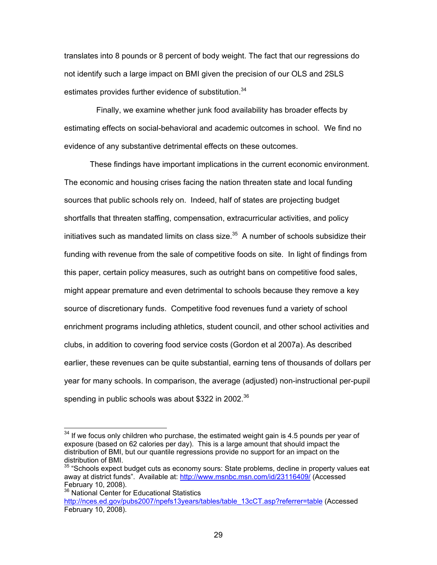translates into 8 pounds or 8 percent of body weight. The fact that our regressions do not identify such a large impact on BMI given the precision of our OLS and 2SLS estimates provides further evidence of substitution.<sup>34</sup>

Finally, we examine whether junk food availability has broader effects by estimating effects on social-behavioral and academic outcomes in school. We find no evidence of any substantive detrimental effects on these outcomes.

These findings have important implications in the current economic environment. The economic and housing crises facing the nation threaten state and local funding sources that public schools rely on. Indeed, half of states are projecting budget shortfalls that threaten staffing, compensation, extracurricular activities, and policy initiatives such as mandated limits on class size. $35$  A number of schools subsidize their funding with revenue from the sale of competitive foods on site. In light of findings from this paper, certain policy measures, such as outright bans on competitive food sales, might appear premature and even detrimental to schools because they remove a key source of discretionary funds. Competitive food revenues fund a variety of school enrichment programs including athletics, student council, and other school activities and clubs, in addition to covering food service costs (Gordon et al 2007a). As described earlier, these revenues can be quite substantial, earning tens of thousands of dollars per year for many schools. In comparison, the average (adjusted) non-instructional per-pupil spending in public schools was about \$322 in 2002.<sup>36</sup>

-

 $34$  If we focus only children who purchase, the estimated weight gain is 4.5 pounds per year of exposure (based on 62 calories per day). This is a large amount that should impact the distribution of BMI, but our quantile regressions provide no support for an impact on the distribution of BMI.

 $35$  "Schools expect budget cuts as economy sours: State problems, decline in property values eat away at district funds". Available at:<http://www.msnbc.msn.com/id/23116409/>(Accessed February 10, 2008).

<sup>&</sup>lt;sup>36</sup> National Center for Educational Statistics [http://nces.ed.gov/pubs2007/npefs13years/tables/table\\_13cCT.asp?referrer=table](http://nces.ed.gov/pubs2007/npefs13years/tables/table_13cCT.asp?referrer=table) (Accessed February 10, 2008).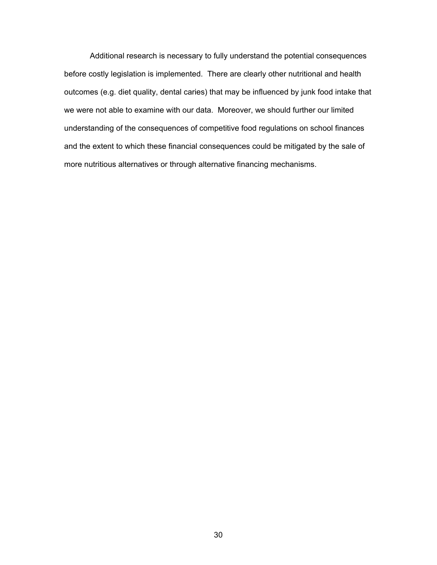Additional research is necessary to fully understand the potential consequences before costly legislation is implemented. There are clearly other nutritional and health outcomes (e.g. diet quality, dental caries) that may be influenced by junk food intake that we were not able to examine with our data. Moreover, we should further our limited understanding of the consequences of competitive food regulations on school finances and the extent to which these financial consequences could be mitigated by the sale of more nutritious alternatives or through alternative financing mechanisms.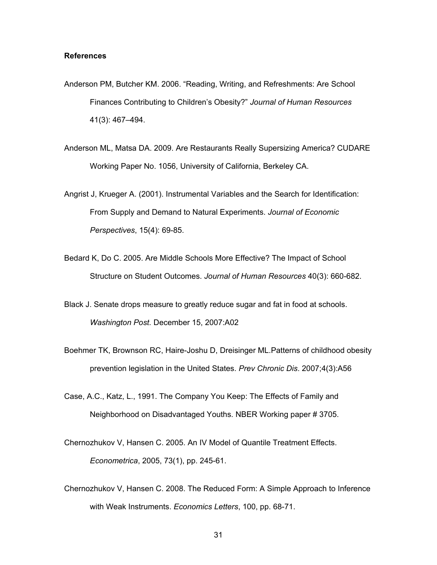## **References**

- Anderson PM, Butcher KM. 2006. "Reading, Writing, and Refreshments: Are School Finances Contributing to Children's Obesity?" *Journal of Human Resources* 41(3): 467–494.
- Anderson ML, Matsa DA. 2009. Are Restaurants Really Supersizing America? CUDARE Working Paper No. 1056, University of California, Berkeley CA.
- Angrist J, Krueger A. (2001). Instrumental Variables and the Search for Identification: From Supply and Demand to Natural Experiments. *Journal of Economic Perspectives*, 15(4): 69-85.
- Bedard K, Do C. 2005. Are Middle Schools More Effective? The Impact of School Structure on Student Outcomes. *Journal of Human Resources* 40(3): 660-682.
- Black J. Senate drops measure to greatly reduce sugar and fat in food at schools. *Washington Post.* December 15, 2007:A02
- Boehmer TK, Brownson RC, Haire-Joshu D, Dreisinger ML.Patterns of childhood obesity prevention legislation in the United States. *Prev Chronic Dis*. 2007;4(3):A56
- Case, A.C., Katz, L., 1991. The Company You Keep: The Effects of Family and Neighborhood on Disadvantaged Youths. NBER Working paper # 3705.
- Chernozhukov V, Hansen C. 2005. An IV Model of Quantile Treatment Effects. *Econometrica*, 2005, 73(1), pp. 245-61.
- Chernozhukov V, Hansen C. 2008. The Reduced Form: A Simple Approach to Inference with Weak Instruments. *Economics Letters*, 100, pp. 68-71.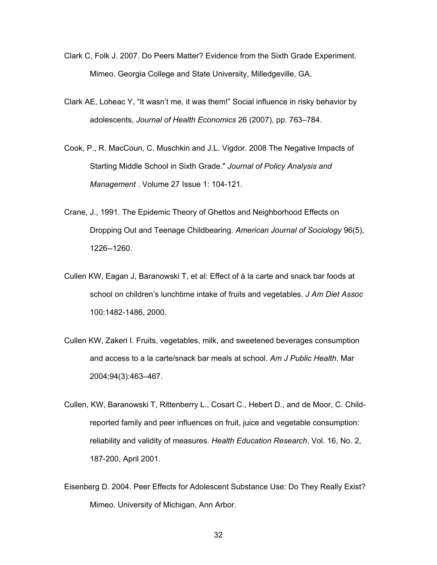- Clark C, Folk J. 2007. Do Peers Matter? Evidence from the Sixth Grade Experiment. Mimeo. Georgia College and State University, Milledgeville, GA.
- Clark AE, Loheac Y, "It wasn't me, it was them!" Social influence in risky behavior by adolescents, *Journal of Health Economics* 26 (2007), pp. 763–784.
- Cook, P., R. MacCoun, C. Muschkin and J.L. Vigdor. 2008 The Negative Impacts of Starting Middle School in Sixth Grade." *Journal of Policy Analysis and Management* . Volume 27 Issue 1: 104-121.
- Crane, J., 1991. The Epidemic Theory of Ghettos and Neighborhood Effects on Dropping Out and Teenage Childbearing. *American Journal of Sociology* 96(5), 1226--1260.
- Cullen KW, Eagan J, Baranowski T, et al: Effect of à la carte and snack bar foods at school on children's lunchtime intake of fruits and vegetables. *J Am Diet Assoc*  100:1482-1486, 2000.
- Cullen KW, Zakeri I. Fruits, vegetables, milk, and sweetened beverages consumption and access to a la carte/snack bar meals at school. *Am J Public Health*. Mar 2004;94(3):463–467.
- Cullen, KW, Baranowski T, Rittenberry L., Cosart C., Hebert D., and de Moor, C. Childreported family and peer influences on fruit, juice and vegetable consumption: reliability and validity of measures. *Health Education Research*, Vol. 16, No. 2, 187-200, April 2001.
- Eisenberg D. 2004. Peer Effects for Adolescent Substance Use: Do They Really Exist? Mimeo. University of Michigan, Ann Arbor.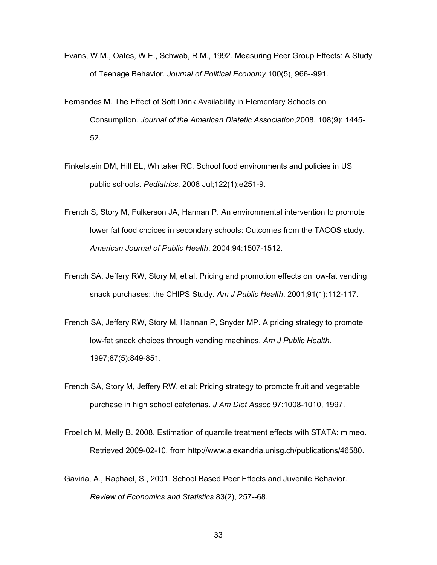- Evans, W.M., Oates, W.E., Schwab, R.M., 1992. Measuring Peer Group Effects: A Study of Teenage Behavior. *Journal of Political Economy* 100(5), 966--991.
- Fernandes M. The Effect of Soft Drink Availability in Elementary Schools on Consumption. *Journal of the American Dietetic Association*,2008. 108(9): 1445- 52.
- Finkelstein DM, Hill EL, Whitaker RC. School food environments and policies in US public schools. *Pediatrics*. 2008 Jul;122(1):e251-9.
- French S, Story M, Fulkerson JA, Hannan P. An environmental intervention to promote lower fat food choices in secondary schools: Outcomes from the TACOS study. *American Journal of Public Health*. 2004;94:1507-1512.
- French SA, Jeffery RW, Story M, et al. Pricing and promotion effects on low-fat vending snack purchases: the CHIPS Study. *Am J Public Health*. 2001;91(1):112-117.
- French SA, Jeffery RW, Story M, Hannan P, Snyder MP. A pricing strategy to promote low-fat snack choices through vending machines. *Am J Public Health.* 1997;87(5):849-851.
- French SA, Story M, Jeffery RW, et al: Pricing strategy to promote fruit and vegetable purchase in high school cafeterias. *J Am Diet Assoc* 97:1008-1010, 1997.
- Froelich M, Melly B. 2008. Estimation of quantile treatment effects with STATA: mimeo. Retrieved 2009-02-10, from [http://www.alexandria.unisg.ch/publications/46580.](http://www.alexandria.unisg.ch/publications/46580)
- Gaviria, A., Raphael, S., 2001. School Based Peer Effects and Juvenile Behavior. *Review of Economics and Statistics* 83(2), 257--68.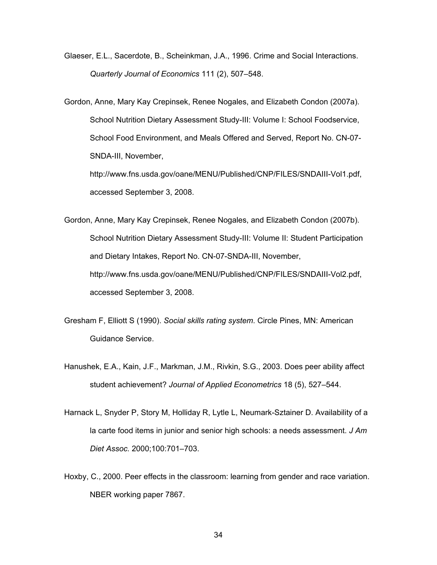Glaeser, E.L., Sacerdote, B., Scheinkman, J.A., 1996. Crime and Social Interactions. *Quarterly Journal of Economics* 111 (2), 507–548.

Gordon, Anne, Mary Kay Crepinsek, Renee Nogales, and Elizabeth Condon (2007a). School Nutrition Dietary Assessment Study-III: Volume I: School Foodservice, School Food Environment, and Meals Offered and Served, Report No. CN-07- SNDA-III, November,

[http://www.fns.usda.gov/oane/MENU/Published/CNP/FILES/SNDAIII-Vol1.pdf,](http://www.fns.usda.gov/oane/MENU/Published/CNP/FILES/SNDAIII-Vol1.pdf)  accessed September 3, 2008.

- Gordon, Anne, Mary Kay Crepinsek, Renee Nogales, and Elizabeth Condon (2007b). School Nutrition Dietary Assessment Study-III: Volume II: Student Participation and Dietary Intakes, Report No. CN-07-SNDA-III, November, [http://www.fns.usda.gov/oane/MENU/Published/CNP/FILES/SNDAIII-Vol2.pdf,](http://www.fns.usda.gov/oane/MENU/Published/CNP/FILES/SNDAIII-Vol2.pdf)  accessed September 3, 2008.
- Gresham F, Elliott S (1990). *Social skills rating system*. Circle Pines, MN: American Guidance Service.
- Hanushek, E.A., Kain, J.F., Markman, J.M., Rivkin, S.G., 2003. Does peer ability affect student achievement? *Journal of Applied Econometrics* 18 (5), 527–544.
- Harnack L, Snyder P, Story M, Holliday R, Lytle L, Neumark-Sztainer D. Availability of a la carte food items in junior and senior high schools: a needs assessment. *J Am Diet Assoc.* 2000;100:701–703.
- Hoxby, C., 2000. Peer effects in the classroom: learning from gender and race variation. NBER working paper 7867.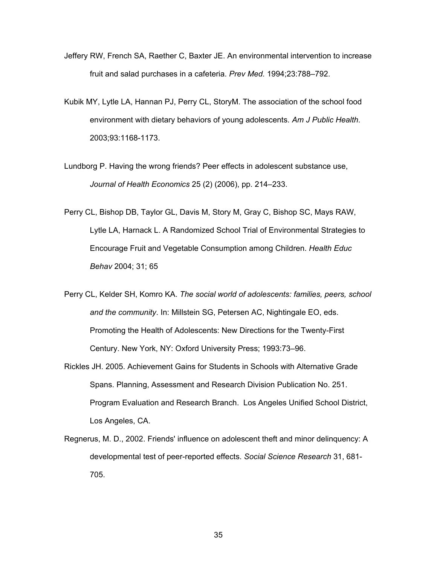- Jeffery RW, French SA, Raether C, Baxter JE. An environmental intervention to increase fruit and salad purchases in a cafeteria. *Prev Med.* 1994;23:788–792.
- Kubik MY, Lytle LA, Hannan PJ, Perry CL, StoryM. The association of the school food environment with dietary behaviors of young adolescents. *Am J Public Health*. 2003;93:1168-1173.
- Lundborg P. Having the wrong friends? Peer effects in adolescent substance use, *Journal of Health Economics* 25 (2) (2006), pp. 214–233.
- Perry CL, Bishop DB, Taylor GL, Davis M, Story M, Gray C, Bishop SC, Mays RAW, Lytle LA, Harnack L. A Randomized School Trial of Environmental Strategies to Encourage Fruit and Vegetable Consumption among Children. *Health Educ Behav* 2004; 31; 65
- Perry CL, Kelder SH, Komro KA. *The social world of adolescents: families, peers, school and the community*. In: Millstein SG, Petersen AC, Nightingale EO, eds. Promoting the Health of Adolescents: New Directions for the Twenty-First Century. New York, NY: Oxford University Press; 1993:73–96.
- Rickles JH. 2005. Achievement Gains for Students in Schools with Alternative Grade Spans. Planning, Assessment and Research Division Publication No. 251. Program Evaluation and Research Branch. Los Angeles Unified School District, Los Angeles, CA.
- Regnerus, M. D., 2002. Friends' influence on adolescent theft and minor delinquency: A developmental test of peer-reported effects. *Social Science Research* 31, 681- 705.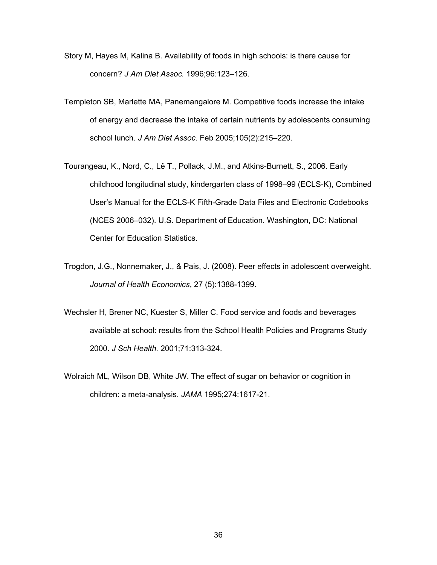- Story M, Hayes M, Kalina B. Availability of foods in high schools: is there cause for concern? *J Am Diet Assoc.* 1996;96:123–126.
- Templeton SB, Marlette MA, Panemangalore M. Competitive foods increase the intake of energy and decrease the intake of certain nutrients by adolescents consuming school lunch. *J Am Diet Assoc*. Feb 2005;105(2):215–220.
- Tourangeau, K., Nord, C., Lê T., Pollack, J.M., and Atkins-Burnett, S., 2006. Early childhood longitudinal study, kindergarten class of 1998–99 (ECLS-K), Combined User's Manual for the ECLS-K Fifth-Grade Data Files and Electronic Codebooks (NCES 2006–032). U.S. Department of Education. Washington, DC: National Center for Education Statistics.
- Trogdon, J.G., Nonnemaker, J., & Pais, J. (2008). Peer effects in adolescent overweight. *Journal of Health Economics*, 27 (5):1388-1399.
- Wechsler H, Brener NC, Kuester S, Miller C. Food service and foods and beverages available at school: results from the School Health Policies and Programs Study 2000. *J Sch Health.* 2001;71:313-324.
- Wolraich ML, Wilson DB, White JW. The effect of sugar on behavior or cognition in children: a meta-analysis. *JAMA* 1995;274:1617-21.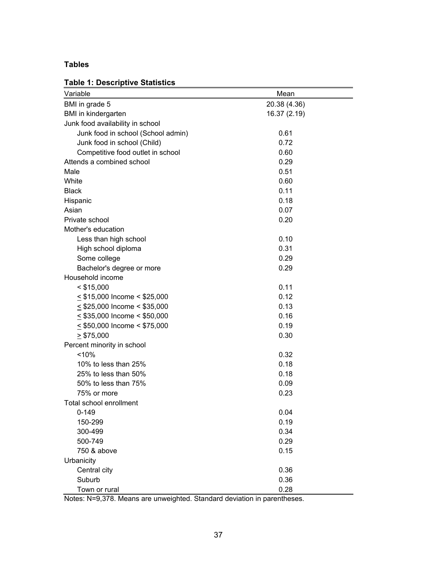## **Tables**

## **Table 1: Descriptive Statistics**

| Variable                           | Mean         |
|------------------------------------|--------------|
| BMI in grade 5                     | 20.38 (4.36) |
| BMI in kindergarten                | 16.37 (2.19) |
| Junk food availability in school   |              |
| Junk food in school (School admin) | 0.61         |
| Junk food in school (Child)        | 0.72         |
| Competitive food outlet in school  | 0.60         |
| Attends a combined school          | 0.29         |
| Male                               | 0.51         |
| White                              | 0.60         |
| <b>Black</b>                       | 0.11         |
| Hispanic                           | 0.18         |
| Asian                              | 0.07         |
| Private school                     | 0.20         |
| Mother's education                 |              |
| Less than high school              | 0.10         |
| High school diploma                | 0.31         |
| Some college                       | 0.29         |
| Bachelor's degree or more          | 0.29         |
| Household income                   |              |
| $<$ \$15,000                       | 0.11         |
| $\leq$ \$15,000 Income < \$25,000  | 0.12         |
| $\leq$ \$25,000 Income < \$35,000  | 0.13         |
| $\leq$ \$35,000 Income < \$50,000  | 0.16         |
| $\leq$ \$50,000 Income < \$75,000  | 0.19         |
| $\geq$ \$75,000                    | 0.30         |
| Percent minority in school         |              |
| < 10%                              | 0.32         |
| 10% to less than 25%               | 0.18         |
| 25% to less than 50%               | 0.18         |
| 50% to less than 75%               | 0.09         |
| 75% or more                        | 0.23         |
| Total school enrollment            |              |
| $0 - 149$                          | 0.04         |
| 150-299                            | 0.19         |
| 300-499                            | 0.34         |
| 500-749                            | 0.29         |
| 750 & above                        | 0.15         |
| Urbanicity                         |              |
| Central city                       | 0.36         |
| Suburb                             | 0.36         |
| Town or rural                      | 0.28         |

Notes: N=9,378. Means are unweighted. Standard deviation in parentheses.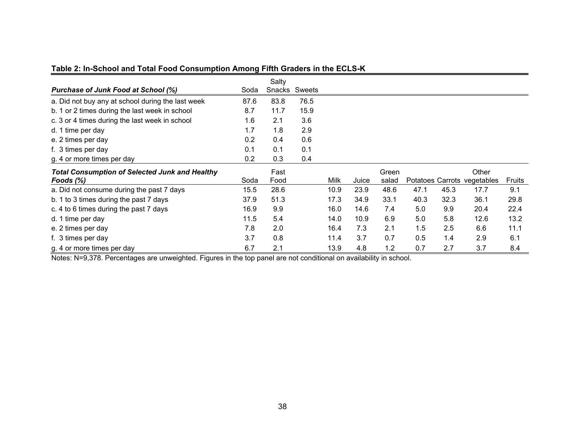|                                                       |      | Salty  |        |             |       |       |      |      |                             |        |
|-------------------------------------------------------|------|--------|--------|-------------|-------|-------|------|------|-----------------------------|--------|
| <b>Purchase of Junk Food at School (%)</b>            | Soda | Snacks | Sweets |             |       |       |      |      |                             |        |
| a. Did not buy any at school during the last week     | 87.6 | 83.8   | 76.5   |             |       |       |      |      |                             |        |
| b. 1 or 2 times during the last week in school        | 8.7  | 11.7   | 15.9   |             |       |       |      |      |                             |        |
| c. 3 or 4 times during the last week in school        | 1.6  | 2.1    | 3.6    |             |       |       |      |      |                             |        |
| d. 1 time per day                                     | 1.7  | 1.8    | 2.9    |             |       |       |      |      |                             |        |
| e. 2 times per day                                    | 0.2  | 0.4    | 0.6    |             |       |       |      |      |                             |        |
| f. 3 times per day                                    | 0.1  | 0.1    | 0.1    |             |       |       |      |      |                             |        |
| g. 4 or more times per day                            | 0.2  | 0.3    | 0.4    |             |       |       |      |      |                             |        |
| <b>Total Consumption of Selected Junk and Healthy</b> |      | Fast   |        |             |       | Green |      |      | Other                       |        |
| Foods $(\%)$                                          | Soda | Food   |        | <b>Milk</b> | Juice | salad |      |      | Potatoes Carrots vegetables | Fruits |
| a. Did not consume during the past 7 days             | 15.5 | 28.6   |        | 10.9        | 23.9  | 48.6  | 47.1 | 45.3 | 17.7                        | 9.1    |
| b. 1 to 3 times during the past 7 days                | 37.9 | 51.3   |        | 17.3        | 34.9  | 33.1  | 40.3 | 32.3 | 36.1                        | 29.8   |
| c. 4 to 6 times during the past 7 days                | 16.9 | 9.9    |        | 16.0        | 14.6  | 7.4   | 5.0  | 9.9  | 20.4                        | 22.4   |
| d. 1 time per day                                     | 11.5 | 5.4    |        | 14.0        | 10.9  | 6.9   | 5.0  | 5.8  | 12.6                        | 13.2   |
| e. 2 times per day                                    | 7.8  | 2.0    |        | 16.4        | 7.3   | 2.1   | 1.5  | 2.5  | 6.6                         | 11.1   |
| f. 3 times per day                                    | 3.7  | 0.8    |        | 11.4        | 3.7   | 0.7   | 0.5  | 1.4  | 2.9                         | 6.1    |
| g. 4 or more times per day                            | 6.7  | 2.1    |        | 13.9        | 4.8   | 1.2   | 0.7  | 2.7  | 3.7                         | 8.4    |

## **Table 2: In-School and Total Food Consumption Among Fifth Graders in the ECLS-K**

Notes: N=9,378. Percentages are unweighted. Figures in the top panel are not conditional on availability in school.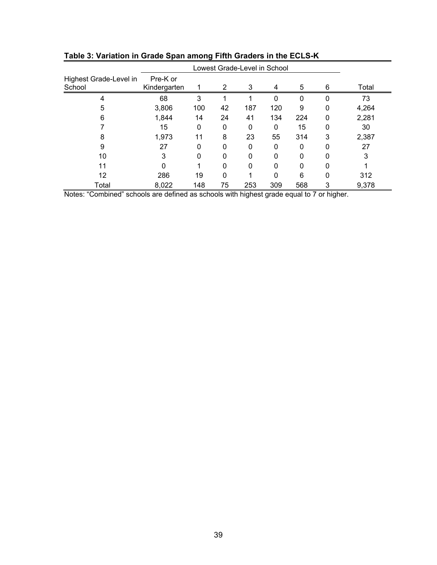| Highest Grade-Level in<br>School | Pre-K or<br>Kindergarten |     | 2  | 3   | 4   | 5        | 6        | Total |
|----------------------------------|--------------------------|-----|----|-----|-----|----------|----------|-------|
| 4                                | 68                       | 3   |    |     | 0   | $\Omega$ | $\Omega$ | 73    |
| 5                                | 3,806                    | 100 | 42 | 187 | 120 | 9        | 0        | 4,264 |
| 6                                | 1,844                    | 14  | 24 | 41  | 134 | 224      | 0        | 2,281 |
|                                  | 15                       | 0   | 0  | 0   | 0   | 15       | 0        | 30    |
| 8                                | 1,973                    | 11  | 8  | 23  | 55  | 314      | 3        | 2,387 |
| 9                                | 27                       | 0   | 0  | 0   | 0   | 0        | 0        | 27    |
| 10                               | 3                        | 0   | 0  | 0   | 0   | $\Omega$ | 0        | 3     |
| 11                               | 0                        |     | 0  | 0   | 0   | $\Omega$ | 0        |       |
| 12                               | 286                      | 19  | 0  |     | 0   | 6        | 0        | 312   |
| Total                            | 8,022                    | 148 | 75 | 253 | 309 | 568      | 3        | 9,378 |

**Table 3: Variation in Grade Span among Fifth Graders in the ECLS-K** 

Notes: "Combined" schools are defined as schools with highest grade equal to 7 or higher.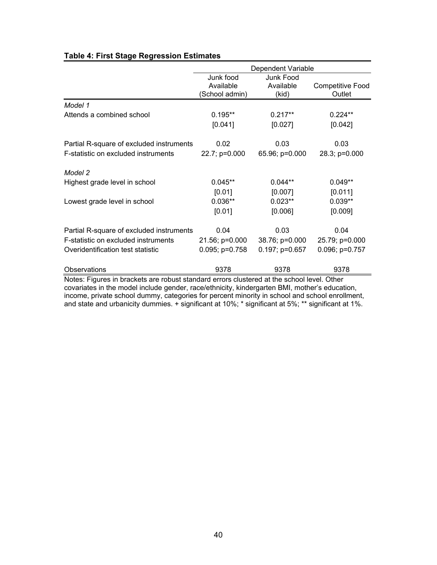|                                                                                                                                                                                             |                                         | Dependent Variable              |                            |
|---------------------------------------------------------------------------------------------------------------------------------------------------------------------------------------------|-----------------------------------------|---------------------------------|----------------------------|
|                                                                                                                                                                                             | Junk food<br>Available<br>School admin) | Junk Food<br>Available<br>(kid) | Competitive Food<br>Outlet |
| Model 1                                                                                                                                                                                     |                                         |                                 |                            |
| Attends a combined school                                                                                                                                                                   | $0.195**$                               | $0.217**$                       | $0.224**$                  |
|                                                                                                                                                                                             | [0.041]                                 | [0.027]                         | [0.042]                    |
| Partial R-square of excluded instruments                                                                                                                                                    | 0.02                                    | 0.03                            | 0.03                       |
| F-statistic on excluded instruments                                                                                                                                                         | 22.7; p=0.000                           | 65.96; p=0.000                  | 28.3; p=0.000              |
| Model 2                                                                                                                                                                                     |                                         |                                 |                            |
| Highest grade level in school                                                                                                                                                               | $0.045**$                               | $0.044**$                       | $0.049**$                  |
|                                                                                                                                                                                             | [0.01]                                  | [0.007]                         | [0.011]                    |
| Lowest grade level in school                                                                                                                                                                | $0.036**$                               | $0.023**$                       | $0.039**$                  |
|                                                                                                                                                                                             | [0.01]                                  | [0.006]                         | [0.009]                    |
| Partial R-square of excluded instruments                                                                                                                                                    | 0.04                                    | 0.03                            | 0.04                       |
| F-statistic on excluded instruments                                                                                                                                                         | 21.56; p=0.000                          | 38.76; p=0.000                  | 25.79; p=0.000             |
| Overidentification test statistic                                                                                                                                                           | $0.095; p=0.758$                        | $0.197; p=0.657$                | $0.096; p=0.757$           |
| Observations                                                                                                                                                                                | 9378                                    | 9378                            | 9378                       |
| Notes: Figures in brackets are robust standard errors clustered at the school level. Other<br>covariates in the model include gender, race/ethnicity, kindergarten BMI, mother's education, |                                         |                                 |                            |

## **Table 4: First Stage Regression Estimates**

income, private school dummy, categories for percent minority in school and school enrollment, and state and urbanicity dummies. + significant at 10%; \* significant at 5%; \*\* significant at 1%.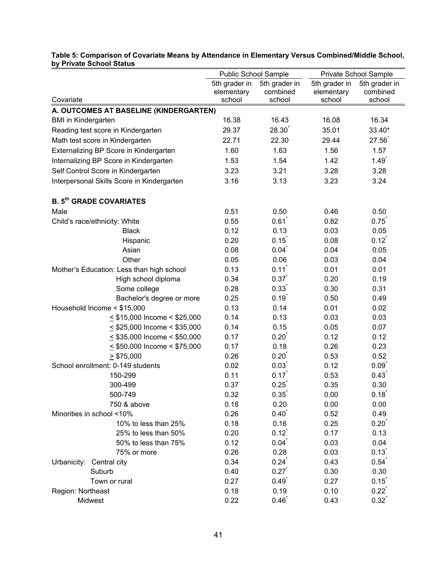|                                            | Public School Sample |                   | Private School Sample |                   |
|--------------------------------------------|----------------------|-------------------|-----------------------|-------------------|
|                                            | 5th grader in        | 5th grader in     | 5th grader in         | 5th grader in     |
|                                            | elementary           | combined          | elementary            | combined          |
| Covariate                                  | school               | school            | school                | school            |
| A. OUTCOMES AT BASELINE (KINDERGARTEN)     |                      |                   |                       |                   |
| <b>BMI</b> in Kindergarten                 | 16.38                | 16.43             | 16.08                 | 16.34             |
| Reading test score in Kindergarten         | 29.37                | 28.30             | 35.01                 | 33.40*            |
| Math test score in Kindergarten            | 22.71                | 22.30             | 29.44                 | 27.56             |
| Externalizing BP Score in Kindergarten     | 1.60                 | 1.63              | 1.56                  | 1.57              |
| Internalizing BP Score in Kindergarten     | 1.53                 | 1.54              | 1.42                  | 1.49              |
| Self Control Score in Kindergarten         | 3.23                 | 3.21              | 3.28                  | 3.28              |
| Interpersonal Skills Score in Kindergarten | 3.16                 | 3.13              | 3.23                  | 3.24              |
| <b>B. 5th GRADE COVARIATES</b>             |                      |                   |                       |                   |
| Male                                       | 0.51                 | 0.50              | 0.46                  | 0.50              |
| Child's race/ethnicity: White              | 0.55                 | 0.61              | 0.82                  | 0.75              |
| <b>Black</b>                               | 0.12                 | 0.13              | 0.03                  | 0.05              |
| Hispanic                                   | 0.20                 | $0.15^{^{\circ}}$ | 0.08                  | $0.12^{t}$        |
| Asian                                      | 0.08                 | 0.04              | 0.04                  | 0.05              |
| Other                                      | 0.05                 | 0.06              | 0.03                  | 0.04              |
| Mother's Education: Less than high school  | 0.13                 | 0.11              | 0.01                  | 0.01              |
| High school diploma                        | 0.34                 | 0.37              | 0.20                  | 0.19              |
| Some college                               | 0.28                 | 0.33              | 0.30                  | 0.31              |
| Bachelor's degree or more                  | 0.25                 | $0.19^{*}$        | 0.50                  | 0.49              |
| Household Income < \$15,000                | 0.13                 | 0.14              | 0.01                  | 0.02              |
| $\leq$ \$15,000 Income < \$25,000          | 0.14                 | 0.13              | 0.03                  | 0.03              |
| $\leq$ \$25,000 Income < \$35,000          | 0.14                 | 0.15              | 0.05                  | 0.07              |
| $\leq$ \$35,000 Income < \$50,000          | 0.17                 | 0.20              | 0.12                  | 0.12              |
| $\leq$ \$50,000 Income < \$75,000          | 0.17                 | 0.18              | 0.26                  | 0.23              |
| $\geq$ \$75,000                            | 0.26                 | 0.20              | 0.53                  | 0.52              |
| School enrollment: 0-149 students          | 0.02                 | 0.03              | 0.12                  | 0.09              |
| 150-299                                    | 0.11                 | 0.17              | 0.53                  | 0.43              |
| 300-499                                    | 0.37                 | 0.25              | 0.35                  | 0.30              |
| 500-749                                    | 0.32                 | 0.35              | 0.00                  | 0.18              |
| 750 & above                                | 0.18                 | 0.20              | 0.00                  | 0.00              |
| Minorities in school <10%                  | 0.26                 | 0.40              | 0.52                  | 0.49              |
| 10% to less than 25%                       | 0.18                 | 0.16              | 0.25                  | 0.20              |
| 25% to less than 50%                       | 0.20                 | $0.12^{t}$        | 0.17                  | 0.13              |
| 50% to less than 75%                       | 0.12                 | 0.04              | 0.03                  | 0.04              |
| 75% or more                                | 0.26                 | 0.28              | 0.03                  | 0.13              |
| Urbanicity:<br>Central city                | 0.34                 | 0.24              | 0.43                  | 0.54              |
| Suburb                                     | 0.40                 | 0.27              | 0.30                  | 0.30              |
| Town or rural                              | 0.27                 | 0.49              | 0.27                  | 0.15              |
| Region: Northeast                          | 0.18                 | 0.19              | 0.10                  | $0.22^{^{\circ}}$ |
| Midwest                                    | 0.22                 | 0.46              | 0.43                  | $0.32^{^{\circ}}$ |

## **Table 5: Comparison of Covariate Means by Attendance in Elementary Versus Combined/Middle School, by Private School Status**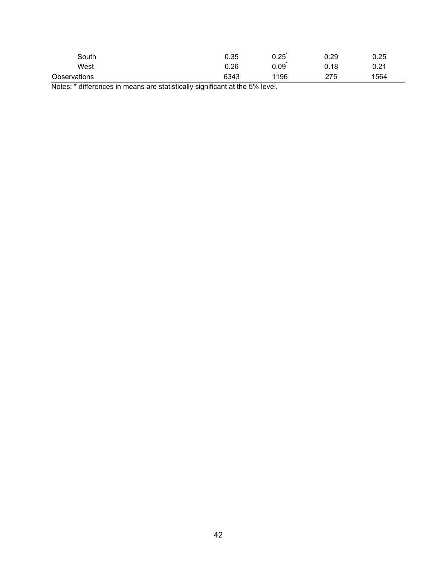| South        | 0.35 | 0.25 | 0.29 | 0.25 |
|--------------|------|------|------|------|
| West         | 0.26 | 0.09 | 0.18 | 0.21 |
| Observations | 6343 | 1196 | 275  | 1564 |

Notes: \* differences in means are statistically significant at the 5% level.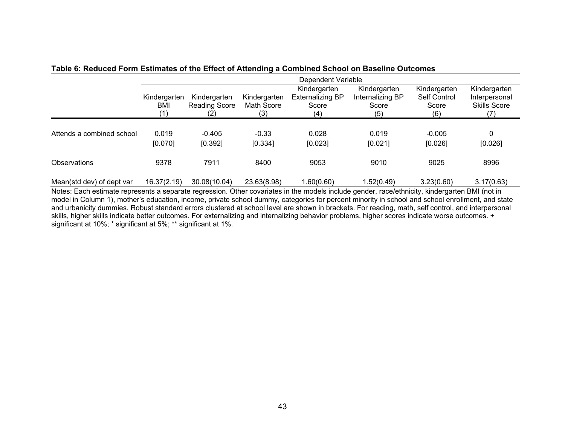|                           | Dependent Variable         |                                             |                                   |                                                         |                                                  |                                              |                                                      |  |
|---------------------------|----------------------------|---------------------------------------------|-----------------------------------|---------------------------------------------------------|--------------------------------------------------|----------------------------------------------|------------------------------------------------------|--|
|                           | Kindergarten<br>BMI<br>(1) | Kindergarten<br><b>Reading Score</b><br>(2) | Kindergarten<br>Math Score<br>(3) | Kindergarten<br><b>Externalizing BP</b><br>Score<br>(4) | Kindergarten<br>Internalizing BP<br>Score<br>(5) | Kindergarten<br>Self Control<br>Score<br>(6) | Kindergarten<br>Interpersonal<br><b>Skills Score</b> |  |
| Attends a combined school | 0.019<br>[0.070]           | $-0.405$<br>[0.392]                         | $-0.33$<br>[0.334]                | 0.028<br>[0.023]                                        | 0.019<br>[0.021]                                 | $-0.005$<br>[0.026]                          | 0<br>[0.026]                                         |  |
| Observations              | 9378                       | 7911                                        | 8400                              | 9053                                                    | 9010                                             | 9025                                         | 8996                                                 |  |
| Mean(std dev) of dept var | 16.37(2.19)                | 30.08(10.04)                                | 23.63(8.98)                       | 1.60(0.60)                                              | 1.52(0.49)                                       | 3.23(0.60)                                   | 3.17(0.63)                                           |  |

## **Table 6: Reduced Form Estimates of the Effect of Attending a Combined School on Baseline Outcomes**

Notes: Each estimate represents a separate regression. Other covariates in the models include gender, race/ethnicity, kindergarten BMI (not in model in Column 1), mother's education, income, private school dummy, categories for percent minority in school and school enrollment, and state and urbanicity dummies. Robust standard errors clustered at school level are shown in brackets. For reading, math, self control, and interpersonal skills, higher skills indicate better outcomes. For externalizing and internalizing behavior problems, higher scores indicate worse outcomes. + significant at 10%; \* significant at 5%; \*\* significant at 1%.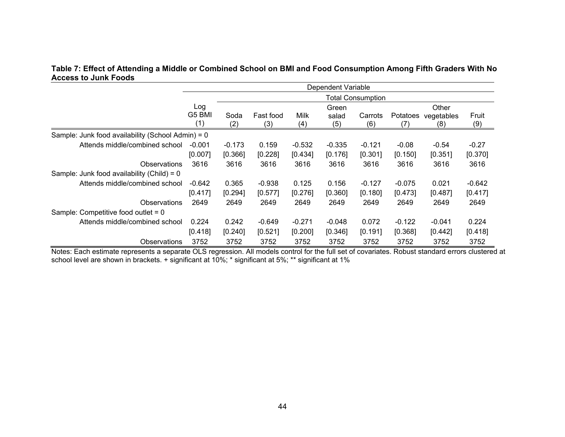## **Table 7: Effect of Attending a Middle or Combined School on BMI and Food Consumption Among Fifth Graders With No Access to Junk Foods**

|                                                   |               |             |                  |             | Dependent Variable |                          |                 |                   |              |
|---------------------------------------------------|---------------|-------------|------------------|-------------|--------------------|--------------------------|-----------------|-------------------|--------------|
|                                                   |               |             |                  |             |                    | <b>Total Consumption</b> |                 |                   |              |
|                                                   | Log           |             |                  |             | Green              |                          |                 | Other             |              |
|                                                   | G5 BMI<br>(1) | Soda<br>(2) | Fast food<br>(3) | Milk<br>(4) | salad<br>(5)       | Carrots<br>(6)           | Potatoes<br>(7) | vegetables<br>(8) | Fruit<br>(9) |
| Sample: Junk food availability (School Admin) = 0 |               |             |                  |             |                    |                          |                 |                   |              |
| Attends middle/combined school                    | $-0.001$      | $-0.173$    | 0.159            | $-0.532$    | $-0.335$           | $-0.121$                 | $-0.08$         | $-0.54$           | $-0.27$      |
|                                                   | [0.007]       | [0.366]     | [0.228]          | [0.434]     | [0.176]            | [0.301]                  | [0.150]         | [0.351]           | [0.370]      |
| <b>Observations</b>                               | 3616          | 3616        | 3616             | 3616        | 3616               | 3616                     | 3616            | 3616              | 3616         |
| Sample: Junk food availability (Child) = $0$      |               |             |                  |             |                    |                          |                 |                   |              |
| Attends middle/combined school                    | $-0.642$      | 0.365       | $-0.938$         | 0.125       | 0.156              | $-0.127$                 | $-0.075$        | 0.021             | $-0.642$     |
|                                                   | [0.417]       | [0.294]     | [0.577]          | [0.276]     | [0.360]            | [0.180]                  | [0.473]         | [0.487]           | [0.417]      |
| Observations                                      | 2649          | 2649        | 2649             | 2649        | 2649               | 2649                     | 2649            | 2649              | 2649         |
| Sample: Competitive food outlet = 0               |               |             |                  |             |                    |                          |                 |                   |              |
| Attends middle/combined school                    | 0.224         | 0.242       | $-0.649$         | $-0.271$    | $-0.048$           | 0.072                    | $-0.122$        | $-0.041$          | 0.224        |
|                                                   | [0.418]       | [0.240]     | [0.521]          | [0.200]     | [0.346]            | [0.191]                  | [0.368]         | [0.442]           | [0.418]      |
| Observations                                      | 3752          | 3752        | 3752             | 3752        | 3752               | 3752                     | 3752            | 3752              | 3752         |

Notes: Each estimate represents a separate OLS regression. All models control for the full set of covariates. Robust standard errors clustered at school level are shown in brackets. + significant at 10%; \* significant at 5%; \*\* significant at 1%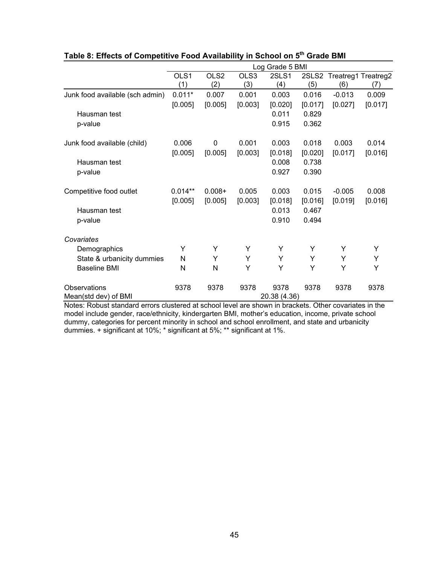|                                 |             |                         |             | Log Grade 5 BMI |         |                                  |         |
|---------------------------------|-------------|-------------------------|-------------|-----------------|---------|----------------------------------|---------|
|                                 | OLS1<br>(1) | OLS <sub>2</sub><br>(2) | OLS3<br>(3) | 2SLS1<br>(4)    | (5)     | 2SLS2 Treatreg1 Treatreg2<br>(6) | (7)     |
| Junk food available (sch admin) | $0.011*$    | 0.007                   | 0.001       | 0.003           | 0.016   | $-0.013$                         | 0.009   |
|                                 | [0.005]     | [0.005]                 | [0.003]     | [0.020]         | [0.017] | [0.027]                          | [0.017] |
| Hausman test                    |             |                         |             | 0.011           | 0.829   |                                  |         |
| p-value                         |             |                         |             | 0.915           | 0.362   |                                  |         |
| Junk food available (child)     | 0.006       | 0                       | 0.001       | 0.003           | 0.018   | 0.003                            | 0.014   |
|                                 | [0.005]     | [0.005]                 | [0.003]     | [0.018]         | [0.020] | [0.017]                          | [0.016] |
| Hausman test                    |             |                         |             | 0.008           | 0.738   |                                  |         |
| p-value                         |             |                         |             | 0.927           | 0.390   |                                  |         |
| Competitive food outlet         | $0.014**$   | $0.008 +$               | 0.005       | 0.003           | 0.015   | $-0.005$                         | 0.008   |
|                                 | [0.005]     | [0.005]                 | [0.003]     | [0.018]         | [0.016] | [0.019]                          | [0.016] |
| Hausman test                    |             |                         |             | 0.013           | 0.467   |                                  |         |
| p-value                         |             |                         |             | 0.910           | 0.494   |                                  |         |
| Covariates                      |             |                         |             |                 |         |                                  |         |
| Demographics                    | Y           | Y                       | Y           | Y               | Y       | Y                                | Y       |
| State & urbanicity dummies      | N           | Y                       | Υ           | Υ               | Y       | Y                                | Υ       |
| <b>Baseline BMI</b>             | N           | $\mathsf{N}$            | Y           | Y               | Y       | Y                                | Y       |
| Observations                    | 9378        | 9378                    | 9378        | 9378            | 9378    | 9378                             | 9378    |
| Mean(std dev) of BMI            |             |                         |             | 20.38 (4.36)    |         |                                  |         |

## **Table 8: Effects of Competitive Food Availability in School on 5th Grade BMI**

Notes: Robust standard errors clustered at school level are shown in brackets. Other covariates in the model include gender, race/ethnicity, kindergarten BMI, mother's education, income, private school dummy, categories for percent minority in school and school enrollment, and state and urbanicity dummies. + significant at 10%; \* significant at 5%; \*\* significant at 1%.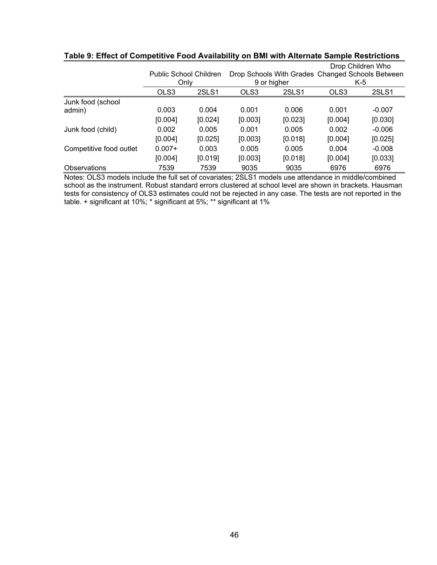|                         |                        |         |         |             |         | Drop Children Who                                |
|-------------------------|------------------------|---------|---------|-------------|---------|--------------------------------------------------|
|                         | Public School Children |         |         |             |         | Drop Schools With Grades Changed Schools Between |
|                         | Only                   |         |         | 9 or higher |         | K-5                                              |
|                         | OLS3                   | 2SLS1   | OLS3    | 2SLS1       | OLS3    | 2SLS1                                            |
| Junk food (school       |                        |         |         |             |         |                                                  |
| admin)                  | 0.003                  | 0.004   | 0.001   | 0.006       | 0.001   | $-0.007$                                         |
|                         | [0.004]                | [0.024] | [0.003] | [0.023]     | [0.004] | [0.030]                                          |
| Junk food (child)       | 0.002                  | 0.005   | 0.001   | 0.005       | 0.002   | $-0.006$                                         |
|                         | [0.004]                | [0.025] | [0.003] | [0.018]     | [0.004] | [0.025]                                          |
| Competitive food outlet | $0.007+$               | 0.003   | 0.005   | 0.005       | 0.004   | $-0.008$                                         |
|                         | [0.004]                | [0.019] | [0.003] | [0.018]     | [0.004] | [0.033]                                          |
| <b>Observations</b>     | 7539                   | 7539    | 9035    | 9035        | 6976    | 6976                                             |

## **Table 9: Effect of Competitive Food Availability on BMI with Alternate Sample Restrictions**

Notes: OLS3 models include the full set of covariates; 2SLS1 models use attendance in middle/combined school as the instrument. Robust standard errors clustered at school level are shown in brackets. Hausman tests for consistency of OLS3 estimates could not be rejected in any case. The tests are not reported in the table. + significant at 10%; \* significant at 5%; \*\* significant at 1%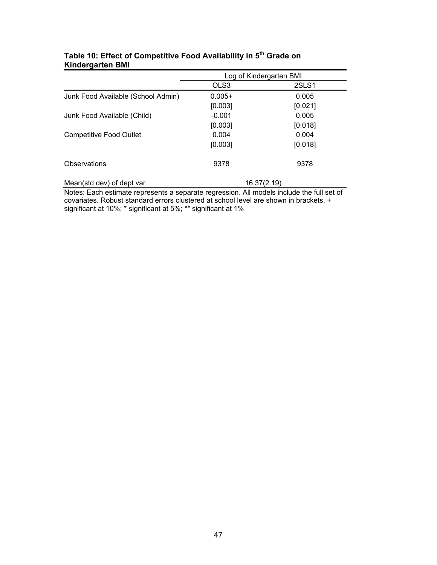|                                    |          | Log of Kindergarten BMI |
|------------------------------------|----------|-------------------------|
|                                    | OLS3     | 2SLS1                   |
| Junk Food Available (School Admin) | $0.005+$ | 0.005                   |
|                                    | [0.003]  | [0.021]                 |
| Junk Food Available (Child)        | $-0.001$ | 0.005                   |
|                                    | [0.003]  | [0.018]                 |
| <b>Competitive Food Outlet</b>     | 0.004    | 0.004                   |
|                                    | [0.003]  | [0.018]                 |
| Observations                       | 9378     | 9378                    |
| Mean(std dev) of dept var          |          | 16.37(2.19)             |

## **Table 10: Effect of Competitive Food Availability in 5th Grade on Kindergarten BMI**

Notes: Each estimate represents a separate regression. All models include the full set of covariates. Robust standard errors clustered at school level are shown in brackets. + significant at 10%; \* significant at 5%; \*\* significant at 1%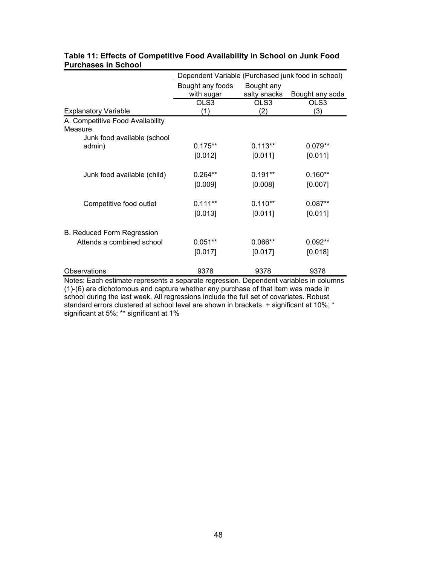|                                                                                                                                                                            | Dependent Variable (Purchased junk food in school) |                            |                 |
|----------------------------------------------------------------------------------------------------------------------------------------------------------------------------|----------------------------------------------------|----------------------------|-----------------|
|                                                                                                                                                                            | Bought any foods<br>with sugar                     | Bought any<br>salty snacks | Bought any soda |
|                                                                                                                                                                            | OLS3                                               | OLS3                       | OLS3            |
| <b>Explanatory Variable</b>                                                                                                                                                | (1)                                                | (2)                        | (3)             |
| A. Competitive Food Availability<br>Measure                                                                                                                                |                                                    |                            |                 |
| Junk food available (school                                                                                                                                                |                                                    |                            |                 |
| admin)                                                                                                                                                                     | $0.175**$                                          | $0.113**$                  | $0.079**$       |
|                                                                                                                                                                            | [0.012]                                            | [0.011]                    | [0.011]         |
| Junk food available (child)                                                                                                                                                | $0.264**$                                          | $0.191**$                  | $0.160**$       |
|                                                                                                                                                                            | [0.009]                                            | [0.008]                    | [0.007]         |
| Competitive food outlet                                                                                                                                                    | $0.111**$                                          | $0.110**$                  | $0.087**$       |
|                                                                                                                                                                            | [0.013]                                            | [0.011]                    | [0.011]         |
| <b>B. Reduced Form Regression</b>                                                                                                                                          |                                                    |                            |                 |
| Attends a combined school                                                                                                                                                  | $0.051**$                                          | $0.066**$                  | $0.092**$       |
|                                                                                                                                                                            | [0.017]                                            | [0.017]                    | [0.018]         |
| Observations                                                                                                                                                               | 9378                                               | 9378                       | 9378            |
| Notes: Each estimate represents a separate regression. Dependent variables in columns<br>(1)-(6) are dichotomous and capture whether any purchase of that item was made in |                                                    |                            |                 |

## **Table 11: Effects of Competitive Food Availability in School on Junk Food Purchases in School**

school during the last week. All regressions include the full set of covariates. Robust standard errors clustered at school level are shown in brackets. + significant at 10%; \* significant at 5%; \*\* significant at 1%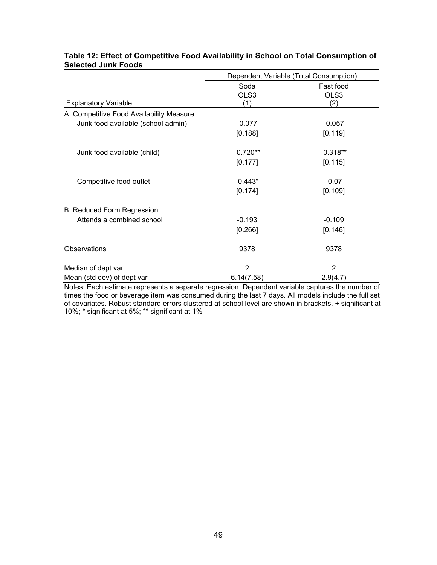|                                          | Dependent Variable (Total Consumption) |            |  |
|------------------------------------------|----------------------------------------|------------|--|
|                                          | Soda                                   | Fast food  |  |
|                                          | OLS3                                   | OLS3       |  |
| <b>Explanatory Variable</b>              | (1)                                    | (2)        |  |
| A. Competitive Food Availability Measure |                                        |            |  |
| Junk food available (school admin)       | $-0.077$                               | $-0.057$   |  |
|                                          | [0.188]                                | [0.119]    |  |
| Junk food available (child)              | $-0.720**$                             | $-0.318**$ |  |
|                                          | [0.177]                                | [0.115]    |  |
| Competitive food outlet                  | $-0.443*$                              | $-0.07$    |  |
|                                          | [0.174]                                | [0.109]    |  |
| <b>B. Reduced Form Regression</b>        |                                        |            |  |
| Attends a combined school                | $-0.193$                               | $-0.109$   |  |
|                                          | [0.266]                                | [0.146]    |  |
| Observations                             | 9378                                   | 9378       |  |
| Median of dept var                       | $\overline{2}$                         | 2          |  |
| Mean (std dev) of dept var               | 6.14(7.58)                             | 2.9(4.7)   |  |

## **Table 12: Effect of Competitive Food Availability in School on Total Consumption of Selected Junk Foods**

Notes: Each estimate represents a separate regression. Dependent variable captures the number of times the food or beverage item was consumed during the last 7 days. All models include the full set of covariates. Robust standard errors clustered at school level are shown in brackets. + significant at 10%; \* significant at 5%; \*\* significant at 1%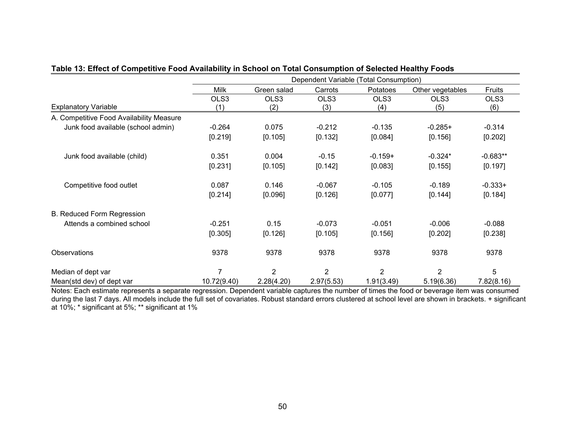|                                          | Dependent Variable (Total Consumption) |                |                |                |                  |            |
|------------------------------------------|----------------------------------------|----------------|----------------|----------------|------------------|------------|
|                                          | <b>Milk</b>                            | Green salad    | Carrots        | Potatoes       | Other vegetables | Fruits     |
|                                          | OLS3                                   | OLS3           | OLS3           | OLS3           | OLS3             | OLS3       |
| <b>Explanatory Variable</b>              | (1)                                    | (2)            | (3)            | (4)            | (5)              | (6)        |
| A. Competitive Food Availability Measure |                                        |                |                |                |                  |            |
| Junk food available (school admin)       | $-0.264$                               | 0.075          | $-0.212$       | $-0.135$       | $-0.285+$        | $-0.314$   |
|                                          | [0.219]                                | [0.105]        | [0.132]        | [0.084]        | [0.156]          | [0.202]    |
| Junk food available (child)              | 0.351                                  | 0.004          | $-0.15$        | $-0.159+$      | $-0.324*$        | $-0.683**$ |
|                                          | [0.231]                                | [0.105]        | [0.142]        | [0.083]        | [0.155]          | [0.197]    |
| Competitive food outlet                  | 0.087                                  | 0.146          | $-0.067$       | $-0.105$       | $-0.189$         | $-0.333+$  |
|                                          | [0.214]                                | [0.096]        | [0.126]        | [0.077]        | [0.144]          | [0.184]    |
| <b>B. Reduced Form Regression</b>        |                                        |                |                |                |                  |            |
| Attends a combined school                | $-0.251$                               | 0.15           | $-0.073$       | $-0.051$       | $-0.006$         | $-0.088$   |
|                                          | [0.305]                                | [0.126]        | [0.105]        | [0.156]        | [0.202]          | [0.238]    |
| Observations                             | 9378                                   | 9378           | 9378           | 9378           | 9378             | 9378       |
| Median of dept var                       | 7                                      | $\overline{2}$ | $\overline{2}$ | $\overline{2}$ | 2                | 5          |
| Mean(std dev) of dept var                | 10.72(9.40)                            | 2.28(4.20)     | 2.97(5.53)     | 1.91(3.49)     | 5.19(6.36)       | 7.82(8.16) |

## **Table 13: Effect of Competitive Food Availability in School on Total Consumption of Selected Healthy Foods**

Notes: Each estimate represents a separate regression. Dependent variable captures the number of times the food or beverage item was consumed during the last 7 days. All models include the full set of covariates. Robust standard errors clustered at school level are shown in brackets. + significant at 10%; \* significant at 5%; \*\* significant at 1%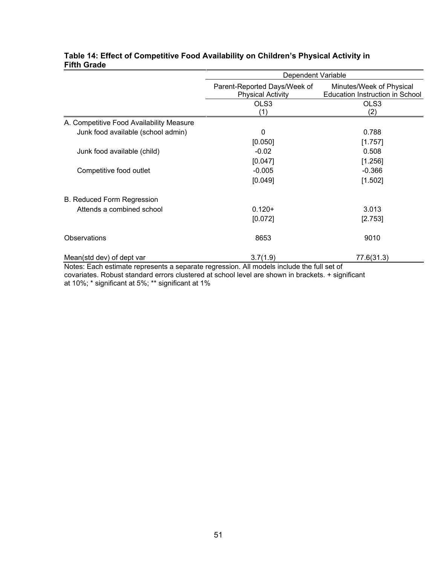|                                                                                 | Dependent Variable                                       |                                                                    |  |  |
|---------------------------------------------------------------------------------|----------------------------------------------------------|--------------------------------------------------------------------|--|--|
|                                                                                 | Parent-Reported Days/Week of<br><b>Physical Activity</b> | Minutes/Week of Physical<br><b>Education Instruction in School</b> |  |  |
|                                                                                 | OLS3<br>(1)                                              | OLS3<br>(2)                                                        |  |  |
| A. Competitive Food Availability Measure                                        |                                                          |                                                                    |  |  |
| Junk food available (school admin)                                              | $\mathbf 0$                                              | 0.788                                                              |  |  |
|                                                                                 | [0.050]                                                  | [1.757]                                                            |  |  |
| Junk food available (child)                                                     | $-0.02$                                                  | 0.508                                                              |  |  |
|                                                                                 | [0.047]                                                  | [1.256]                                                            |  |  |
| Competitive food outlet                                                         | $-0.005$                                                 | $-0.366$                                                           |  |  |
|                                                                                 | [0.049]                                                  | [1.502]                                                            |  |  |
| B. Reduced Form Regression                                                      |                                                          |                                                                    |  |  |
| Attends a combined school                                                       | $0.120+$                                                 | 3.013                                                              |  |  |
|                                                                                 | [0.072]                                                  | [2.753]                                                            |  |  |
| Observations                                                                    | 8653                                                     | 9010                                                               |  |  |
| Mean(std dev) of dept var<br>Nistes: Feel estimate proposante a concurto propos | 3.7(1.9)<br>All see state is studented a full and af-    | 77.6(31.3)                                                         |  |  |

## **Table 14: Effect of Competitive Food Availability on Children's Physical Activity in Fifth Grade**

Notes: Each estimate represents a separate regression. All models include the full set of covariates. Robust standard errors clustered at school level are shown in brackets. + significant at 10%; \* significant at 5%; \*\* significant at 1%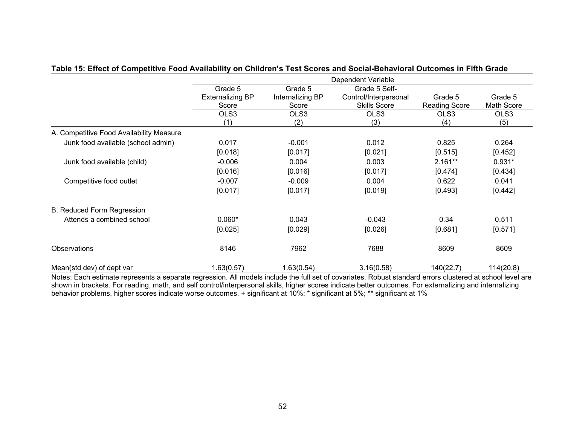|                                          |                                             |                                      | Dependent Variable                                            |                          |                              |
|------------------------------------------|---------------------------------------------|--------------------------------------|---------------------------------------------------------------|--------------------------|------------------------------|
|                                          | Grade 5<br><b>Externalizing BP</b><br>Score | Grade 5<br>Internalizing BP<br>Score | Grade 5 Self-<br>Control/Interpersonal<br><b>Skills Score</b> | Grade 5<br>Reading Score | Grade 5<br><b>Math Score</b> |
|                                          | OLS3<br>(1)                                 | OLS3<br>(2)                          | OLS3<br>(3)                                                   | OLS3<br>(4)              | OLS3<br>(5)                  |
| A. Competitive Food Availability Measure |                                             |                                      |                                                               |                          |                              |
| Junk food available (school admin)       | 0.017                                       | $-0.001$                             | 0.012                                                         | 0.825                    | 0.264                        |
|                                          | [0.018]                                     | [0.017]                              | [0.021]                                                       | [0.515]                  | [0.452]                      |
| Junk food available (child)              | $-0.006$                                    | 0.004                                | 0.003                                                         | $2.161**$                | $0.931*$                     |
|                                          | [0.016]                                     | [0.016]                              | [0.017]                                                       | [0.474]                  | [0.434]                      |
| Competitive food outlet                  | $-0.007$                                    | $-0.009$                             | 0.004                                                         | 0.622                    | 0.041                        |
|                                          | [0.017]                                     | [0.017]                              | [0.019]                                                       | [0.493]                  | [0.442]                      |
| <b>B. Reduced Form Regression</b>        |                                             |                                      |                                                               |                          |                              |
| Attends a combined school                | $0.060*$                                    | 0.043                                | $-0.043$                                                      | 0.34                     | 0.511                        |
|                                          | [0.025]                                     | [0.029]                              | [0.026]                                                       | [0.681]                  | [0.571]                      |
| Observations                             | 8146                                        | 7962                                 | 7688                                                          | 8609                     | 8609                         |
| Mean(std dev) of dept var                | 1.63(0.57)                                  | 1.63(0.54)                           | 3.16(0.58)                                                    | 140(22.7)                | 114(20.8)                    |

#### **Table 15: Effect of Competitive Food Availability on Children's Test Scores and Social-Behavioral Outcomes in Fifth Grade**

Notes: Each estimate represents a separate regression. All models include the full set of covariates. Robust standard errors clustered at school level are shown in brackets. For reading, math, and self control/interpersonal skills, higher scores indicate better outcomes. For externalizing and internalizing behavior problems, higher scores indicate worse outcomes. + significant at 10%; \* significant at 5%; \*\* significant at 1%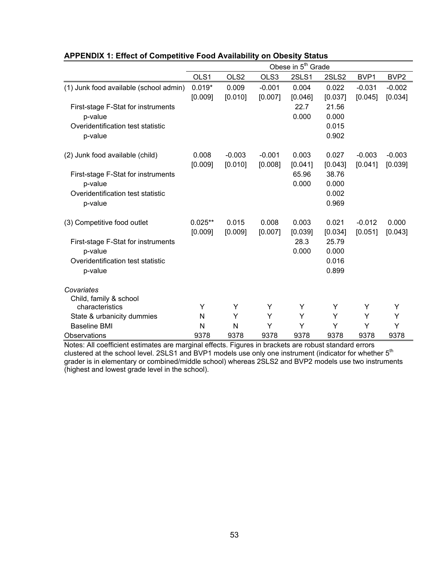|                                                                                               | Obese in 5 <sup>th</sup> Grade |                     |                     |                  |                                  |                     |                     |
|-----------------------------------------------------------------------------------------------|--------------------------------|---------------------|---------------------|------------------|----------------------------------|---------------------|---------------------|
|                                                                                               | OLS1                           | OLS <sub>2</sub>    | OLS3                | 2SLS1            | 2SLS2                            | BVP1                | BVP <sub>2</sub>    |
| (1) Junk food available (school admin)                                                        | $0.019*$<br>[0.009]            | 0.009<br>[0.010]    | $-0.001$<br>[0.007] | 0.004<br>[0.046] | 0.022<br>[0.037]                 | $-0.031$<br>[0.045] | $-0.002$<br>[0.034] |
| First-stage F-Stat for instruments<br>p-value<br>Overidentification test statistic<br>p-value |                                |                     |                     | 22.7<br>0.000    | 21.56<br>0.000<br>0.015<br>0.902 |                     |                     |
| (2) Junk food available (child)                                                               | 0.008<br>[0.009]               | $-0.003$<br>[0.010] | $-0.001$<br>[0.008] | 0.003<br>[0.041] | 0.027<br>[0.043]                 | $-0.003$<br>[0.041] | $-0.003$<br>[0.039] |
| First-stage F-Stat for instruments<br>p-value<br>Overidentification test statistic<br>p-value |                                |                     |                     | 65.96<br>0.000   | 38.76<br>0.000<br>0.002<br>0.969 |                     |                     |
| (3) Competitive food outlet                                                                   | $0.025**$<br>[0.009]           | 0.015<br>[0.009]    | 0.008<br>[0.007]    | 0.003<br>[0.039] | 0.021<br>[0.034]                 | $-0.012$<br>[0.051] | 0.000<br>[0.043]    |
| First-stage F-Stat for instruments<br>p-value<br>Overidentification test statistic<br>p-value |                                |                     |                     | 28.3<br>0.000    | 25.79<br>0.000<br>0.016<br>0.899 |                     |                     |
| Covariates<br>Child, family & school                                                          |                                |                     |                     |                  |                                  |                     |                     |
| characteristics                                                                               | Y                              | Y                   | Y                   | Y                | Y                                | Y                   | Y                   |
| State & urbanicity dummies                                                                    | N                              | Y                   | Y                   | Y                | Y                                | Y                   | Y                   |
| <b>Baseline BMI</b>                                                                           | N                              | N                   | Y                   | Υ                | Υ                                | Y                   | Υ                   |
| Observations                                                                                  | 9378                           | 9378                | 9378                | 9378             | 9378                             | 9378                | 9378                |

## **APPENDIX 1: Effect of Competitive Food Availability on Obesity Status**

Notes: All coefficient estimates are marginal effects. Figures in brackets are robust standard errors clustered at the school level. 2SLS1 and BVP1 models use only one instrument (indicator for whether 5th grader is in elementary or combined/middle school) whereas 2SLS2 and BVP2 models use two instruments (highest and lowest grade level in the school).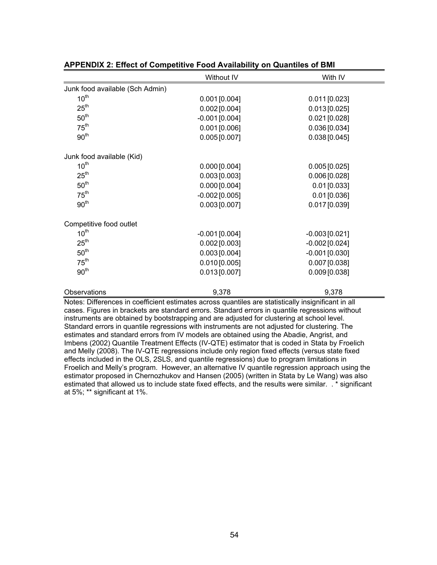|                                 | Without IV       | With IV          |
|---------------------------------|------------------|------------------|
| Junk food available (Sch Admin) |                  |                  |
| 10 <sup>th</sup>                | $0.001$ [0.004]  | $0.011$ [0.023]  |
| 25 <sup>th</sup>                | $0.002$ [0.004]  | 0.013[0.025]     |
| 50 <sup>th</sup>                | $-0.001$ [0.004] | $0.021$ [0.028]  |
| 75 <sup>th</sup>                | $0.001$ [0.006]  | 0.036[0.034]     |
| 90 <sup>th</sup>                | $0.005$ [0.007]  | 0.038[0.045]     |
| Junk food available (Kid)       |                  |                  |
| 10 <sup>th</sup>                | $0.000$ [0.004]  | 0.005[0.025]     |
| 25 <sup>th</sup>                | $0.003$ [0.003]  | $0.006$ [0.028]  |
| 50 <sup>th</sup>                | $0.000$ [0.004]  | $0.01$ [0.033]   |
| 75 <sup>th</sup>                | $-0.002$ [0.005] | $0.01$ [0.036]   |
| 90 <sup>th</sup>                | $0.003$ [0.007]  | $0.017$ [0.039]  |
| Competitive food outlet         |                  |                  |
| 10 <sup>th</sup>                | $-0.001$ [0.004] | $-0.003[0.021]$  |
| 25 <sup>th</sup>                | $0.002$ [0.003]  | $-0.002$ [0.024] |
| 50 <sup>th</sup>                | $0.003$ [0.004]  | $-0.001$ [0.030] |
| $75^{\text{th}}$                | $0.010$ [0.005]  | 0.007 [0.038]    |
| 90 <sup>th</sup>                | $0.013$ [0.007]  | $0.009$ [0.038]  |
| Observations                    | 9,378            | 9,378            |

| <b>APPENDIX 2: Effect of Competitive Food Availability on Quantiles of BMI</b> |  |  |
|--------------------------------------------------------------------------------|--|--|
|--------------------------------------------------------------------------------|--|--|

cases. Figures in brackets are standard errors. Standard errors in quantile regressions without instruments are obtained by bootstrapping and are adjusted for clustering at school level. Standard errors in quantile regressions with instruments are not adjusted for clustering. The estimates and standard errors from IV models are obtained using the Abadie, Angrist, and Imbens (2002) Quantile Treatment Effects (IV-QTE) estimator that is coded in Stata by Froelich and Melly (2008). The IV-QTE regressions include only region fixed effects (versus state fixed effects included in the OLS, 2SLS, and quantile regressions) due to program limitations in Froelich and Melly's program. However, an alternative IV quantile regression approach using the estimator proposed in Chernozhukov and Hansen (2005) (written in Stata by Le Wang) was also estimated that allowed us to include state fixed effects, and the results were similar. . \* significant at 5%; \*\* significant at 1%.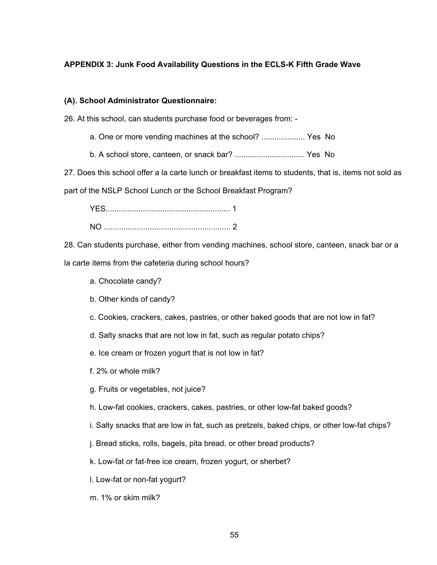## **APPENDIX 3: Junk Food Availability Questions in the ECLS-K Fifth Grade Wave**

## **(A). School Administrator Questionnaire:**

26. At this school, can students purchase food or beverages from: -

- a. One or more vending machines at the school? .................... Yes No
- b. A school store, canteen, or snack bar? ................................ Yes No

27. Does this school offer a la carte lunch or breakfast items to students, that is, items not sold as part of the NSLP School Lunch or the School Breakfast Program?

YES......................................................... 1 NO .......................................................... 2

28. Can students purchase, either from vending machines, school store, canteen, snack bar or a

la carte items from the cafeteria during school hours?

- a. Chocolate candy?
- b. Other kinds of candy?
- c. Cookies, crackers, cakes, pastries, or other baked goods that are not low in fat?
- d. Salty snacks that are not low in fat, such as regular potato chips?
- e. Ice cream or frozen yogurt that is not low in fat?
- f. 2% or whole milk?
- g. Fruits or vegetables, not juice?
- h. Low-fat cookies, crackers, cakes, pastries, or other low-fat baked goods?
- i. Salty snacks that are low in fat, such as pretzels, baked chips, or other low-fat chips?
- j. Bread sticks, rolls, bagels, pita bread, or other bread products?
- k. Low-fat or fat-free ice cream, frozen yogurt, or sherbet?
- l. Low-fat or non-fat yogurt?
- m. 1% or skim milk?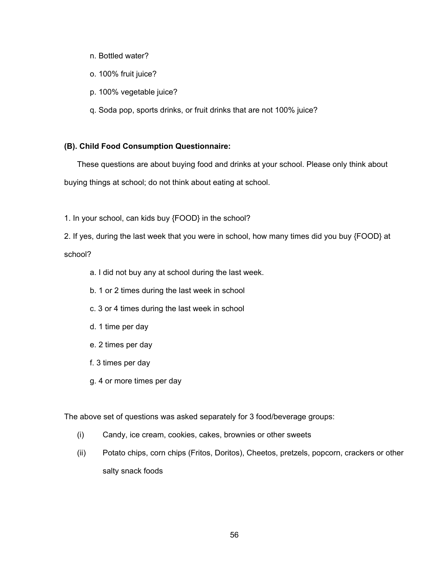- n. Bottled water?
- o. 100% fruit juice?
- p. 100% vegetable juice?
- q. Soda pop, sports drinks, or fruit drinks that are not 100% juice?

## **(B). Child Food Consumption Questionnaire:**

These questions are about buying food and drinks at your school. Please only think about buying things at school; do not think about eating at school.

1. In your school, can kids buy {FOOD} in the school?

2. If yes, during the last week that you were in school, how many times did you buy {FOOD} at school?

- a. I did not buy any at school during the last week.
- b. 1 or 2 times during the last week in school
- c. 3 or 4 times during the last week in school
- d. 1 time per day
- e. 2 times per day
- f. 3 times per day
- g. 4 or more times per day

The above set of questions was asked separately for 3 food/beverage groups:

- (i) Candy, ice cream, cookies, cakes, brownies or other sweets
- (ii) Potato chips, corn chips (Fritos, Doritos), Cheetos, pretzels, popcorn, crackers or other salty snack foods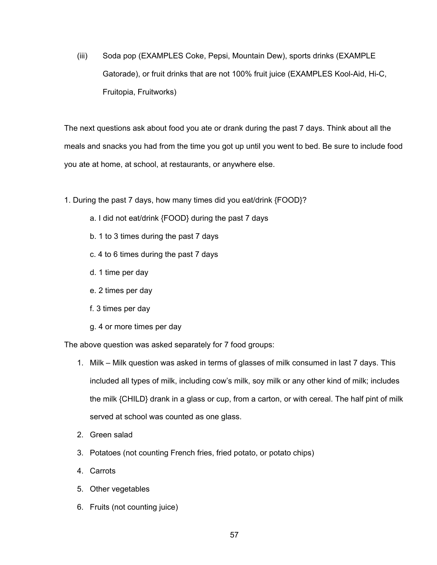(iii) Soda pop (EXAMPLES Coke, Pepsi, Mountain Dew), sports drinks (EXAMPLE Gatorade), or fruit drinks that are not 100% fruit juice (EXAMPLES Kool-Aid, Hi-C, Fruitopia, Fruitworks)

The next questions ask about food you ate or drank during the past 7 days. Think about all the meals and snacks you had from the time you got up until you went to bed. Be sure to include food you ate at home, at school, at restaurants, or anywhere else.

- 1. During the past 7 days, how many times did you eat/drink {FOOD}?
	- a. I did not eat/drink {FOOD} during the past 7 days
	- b. 1 to 3 times during the past 7 days
	- c. 4 to 6 times during the past 7 days
	- d. 1 time per day
	- e. 2 times per day
	- f. 3 times per day
	- g. 4 or more times per day

The above question was asked separately for 7 food groups:

- 1. Milk Milk question was asked in terms of glasses of milk consumed in last 7 days. This included all types of milk, including cow's milk, soy milk or any other kind of milk; includes the milk {CHILD} drank in a glass or cup, from a carton, or with cereal. The half pint of milk served at school was counted as one glass.
- 2. Green salad
- 3. Potatoes (not counting French fries, fried potato, or potato chips)
- 4. Carrots
- 5. Other vegetables
- 6. Fruits (not counting juice)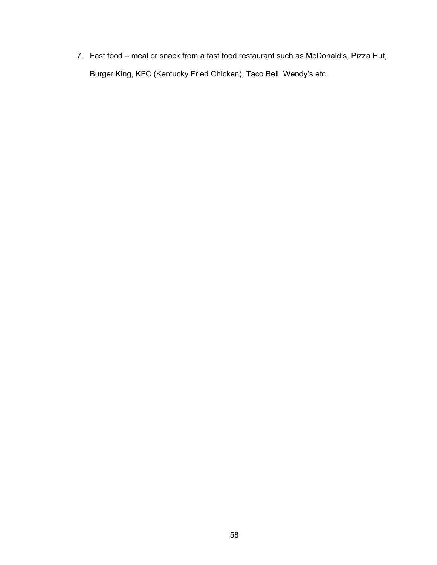7. Fast food – meal or snack from a fast food restaurant such as McDonald's, Pizza Hut, Burger King, KFC (Kentucky Fried Chicken), Taco Bell, Wendy's etc.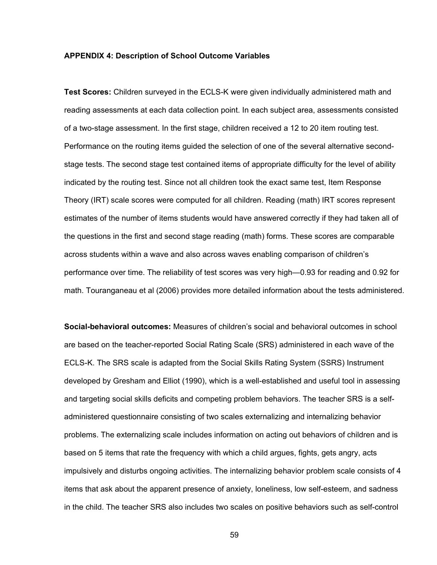#### **APPENDIX 4: Description of School Outcome Variables**

**Test Scores:** Children surveyed in the ECLS-K were given individually administered math and reading assessments at each data collection point. In each subject area, assessments consisted of a two-stage assessment. In the first stage, children received a 12 to 20 item routing test. Performance on the routing items guided the selection of one of the several alternative secondstage tests. The second stage test contained items of appropriate difficulty for the level of ability indicated by the routing test. Since not all children took the exact same test, Item Response Theory (IRT) scale scores were computed for all children. Reading (math) IRT scores represent estimates of the number of items students would have answered correctly if they had taken all of the questions in the first and second stage reading (math) forms. These scores are comparable across students within a wave and also across waves enabling comparison of children's performance over time. The reliability of test scores was very high—0.93 for reading and 0.92 for math. Touranganeau et al (2006) provides more detailed information about the tests administered.

**Social-behavioral outcomes:** Measures of children's social and behavioral outcomes in school are based on the teacher-reported Social Rating Scale (SRS) administered in each wave of the ECLS-K. The SRS scale is adapted from the Social Skills Rating System (SSRS) Instrument developed by Gresham and Elliot (1990), which is a well-established and useful tool in assessing and targeting social skills deficits and competing problem behaviors. The teacher SRS is a selfadministered questionnaire consisting of two scales externalizing and internalizing behavior problems. The externalizing scale includes information on acting out behaviors of children and is based on 5 items that rate the frequency with which a child argues, fights, gets angry, acts impulsively and disturbs ongoing activities. The internalizing behavior problem scale consists of 4 items that ask about the apparent presence of anxiety, loneliness, low self-esteem, and sadness in the child. The teacher SRS also includes two scales on positive behaviors such as self-control

59 - Santa Barat, amerikan pendudukan kemajaran 1990an (nombor).<br>Sejarah pendudukan pendudukan pendudukan pendudukan pendudukan pendudukan pendudukan pendudukan pendudukan pe